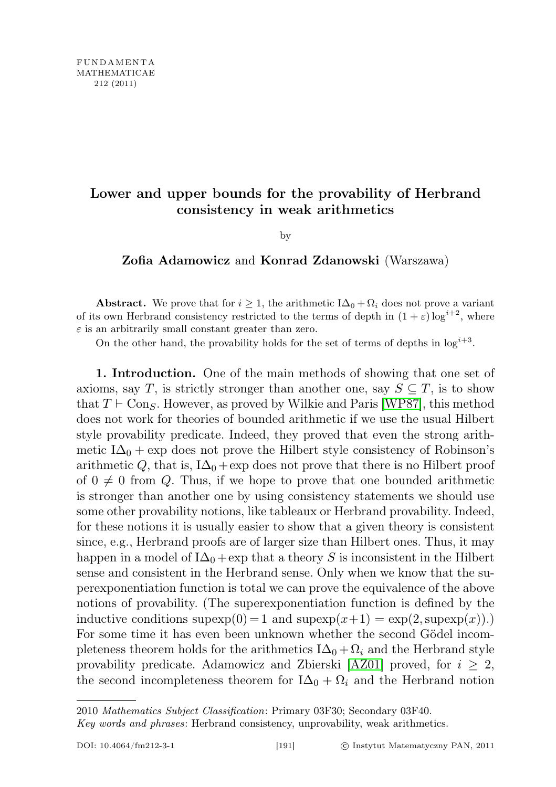## Lower and upper bounds for the provability of Herbrand consistency in weak arithmetics

by

## Zofia Adamowicz and Konrad Zdanowski (Warszawa)

Abstract. We prove that for  $i \geq 1$ , the arithmetic  $I\Delta_0 + \Omega_i$  does not prove a variant of its own Herbrand consistency restricted to the terms of depth in  $(1 + \varepsilon) \log^{i+2}$ , where  $\varepsilon$  is an arbitrarily small constant greater than zero.

On the other hand, the provability holds for the set of terms of depths in  $\log^{i+3}$ .

1. Introduction. One of the main methods of showing that one set of axioms, say T, is strictly stronger than another one, say  $S \subseteq T$ , is to show that  $T \vdash \text{Con}_{S}$ . However, as proved by Wilkie and Paris [\[WP87\]](#page-25-0), this method does not work for theories of bounded arithmetic if we use the usual Hilbert style provability predicate. Indeed, they proved that even the strong arithmetic I $\Delta_0$  + exp does not prove the Hilbert style consistency of Robinson's arithmetic Q, that is,  $I\Delta_0$  + exp does not prove that there is no Hilbert proof of  $0 \neq 0$  from Q. Thus, if we hope to prove that one bounded arithmetic is stronger than another one by using consistency statements we should use some other provability notions, like tableaux or Herbrand provability. Indeed, for these notions it is usually easier to show that a given theory is consistent since, e.g., Herbrand proofs are of larger size than Hilbert ones. Thus, it may happen in a model of  $I\Delta_0$  + exp that a theory S is inconsistent in the Hilbert sense and consistent in the Herbrand sense. Only when we know that the superexponentiation function is total we can prove the equivalence of the above notions of provability. (The superexponentiation function is defined by the inductive conditions  $supexp(0) = 1$  and  $supexp(x+1) = exp(2, supp(x)).$ For some time it has even been unknown whether the second Gödel incompleteness theorem holds for the arithmetics  $I\Delta_0 + \Omega_i$  and the Herbrand style provability predicate. Adamowicz and Zbierski [\[AZ01\]](#page-25-1) proved, for  $i \geq 2$ , the second incompleteness theorem for  $I\Delta_0 + \Omega_i$  and the Herbrand notion

<sup>2010</sup> Mathematics Subject Classification: Primary 03F30; Secondary 03F40.

Key words and phrases: Herbrand consistency, unprovability, weak arithmetics.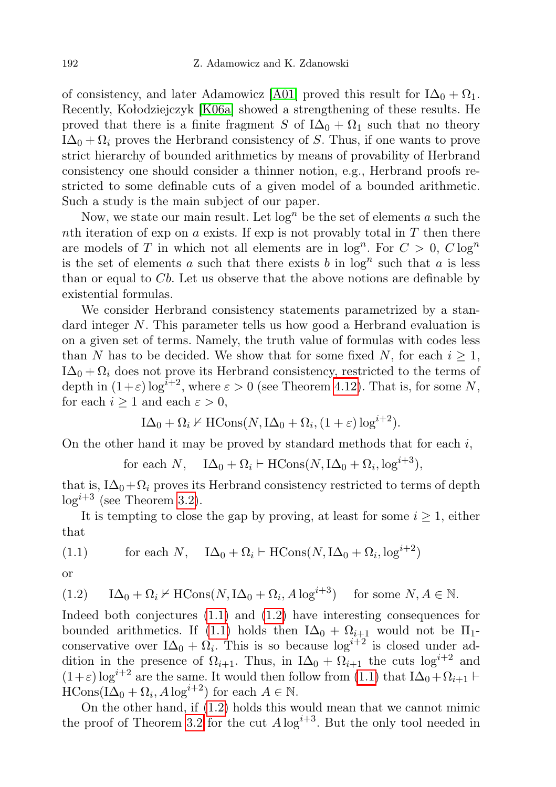of consistency, and later Adamowicz [\[A01\]](#page-25-2) proved this result for  $I\Delta_0 + \Omega_1$ . Recently, Kołodziejczyk [\[K06a\]](#page-25-3) showed a strengthening of these results. He proved that there is a finite fragment S of  $I\Delta_0 + \Omega_1$  such that no theory  $I\Delta_0 + \Omega_i$  proves the Herbrand consistency of S. Thus, if one wants to prove strict hierarchy of bounded arithmetics by means of provability of Herbrand consistency one should consider a thinner notion, e.g., Herbrand proofs restricted to some definable cuts of a given model of a bounded arithmetic. Such a study is the main subject of our paper.

Now, we state our main result. Let  $log<sup>n</sup>$  be the set of elements a such the nth iteration of exp on a exists. If exp is not provably total in  $T$  then there are models of T in which not all elements are in  $log<sup>n</sup>$ . For  $C > 0$ ,  $C log<sup>n</sup>$ is the set of elements a such that there exists b in  $\log^n$  such that a is less than or equal to  $Cb$ . Let us observe that the above notions are definable by existential formulas.

We consider Herbrand consistency statements parametrized by a standard integer N. This parameter tells us how good a Herbrand evaluation is on a given set of terms. Namely, the truth value of formulas with codes less than N has to be decided. We show that for some fixed N, for each  $i \geq 1$ ,  $I\Delta_0 + \Omega_i$  does not prove its Herbrand consistency, restricted to the terms of depth in  $(1+\varepsilon) \log^{i+2}$ , where  $\varepsilon > 0$  (see Theorem [4.12\)](#page-25-4). That is, for some N, for each  $i \geq 1$  and each  $\varepsilon > 0$ ,

$$
I\Delta_0 + \Omega_i \nvdash \text{HCons}(N, I\Delta_0 + \Omega_i, (1+\varepsilon) \log^{i+2}).
$$

On the other hand it may be proved by standard methods that for each  $i$ ,

for each  $N$ ,  $I\Delta_0 + \Omega_i \vdash \text{HCons}(N, \text{I}\Delta_0 + \Omega_i, \log^{i+3}),$ 

that is,  $I\Delta_0+\Omega_i$  proves its Herbrand consistency restricted to terms of depth  $log^{i+3}$  (see Theorem [3.2\)](#page-13-0).

It is tempting to close the gap by proving, at least for some  $i \geq 1$ , either that

<span id="page-1-0"></span>(1.1) for each N, 
$$
I\Delta_0 + \Omega_i \vdash \text{HCons}(N, I\Delta_0 + \Omega_i, \log^{i+2})
$$

or

<span id="page-1-1"></span>(1.2) 
$$
I\Delta_0 + \Omega_i \nvdash \text{HCons}(N, I\Delta_0 + \Omega_i, A\log^{i+3})
$$
 for some  $N, A \in \mathbb{N}$ .

Indeed both conjectures [\(1.1\)](#page-1-0) and [\(1.2\)](#page-1-1) have interesting consequences for bounded arithmetics. If [\(1.1\)](#page-1-0) holds then  $I\Delta_0 + \Omega_{i+1}$  would not be  $\Pi_1$ conservative over  $I\Delta_0 + \Omega_i$ . This is so because  $\log^{i+2}$  is closed under addition in the presence of  $\Omega_{i+1}$ . Thus, in  $I\Delta_0 + \Omega_{i+1}$  the cuts  $\log^{i+2}$  and  $(1+\varepsilon) \log^{i+2}$  are the same. It would then follow from  $(1.1)$  that  $I\Delta_0+\Omega_{i+1} \vdash$  $\text{HCons}(\text{I}\Delta_0 + \Omega_i, A\log^{i+2})$  for each  $A \in \mathbb{N}$ .

On the other hand, if [\(1.2\)](#page-1-1) holds this would mean that we cannot mimic the proof of Theorem [3.2](#page-13-0) for the cut  $A \log^{i+3}$ . But the only tool needed in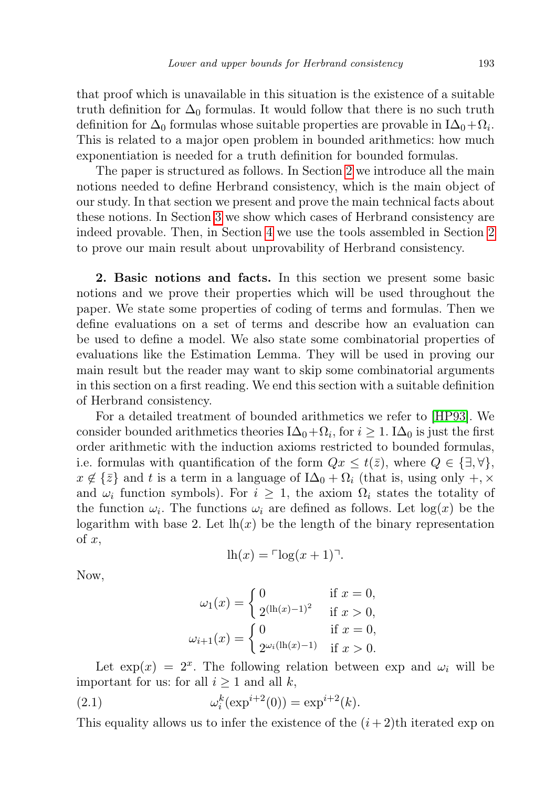that proof which is unavailable in this situation is the existence of a suitable truth definition for  $\Delta_0$  formulas. It would follow that there is no such truth definition for  $\Delta_0$  formulas whose suitable properties are provable in I $\Delta_0 + \Omega_i$ . This is related to a major open problem in bounded arithmetics: how much exponentiation is needed for a truth definition for bounded formulas.

The paper is structured as follows. In Section [2](#page-2-0) we introduce all the main notions needed to define Herbrand consistency, which is the main object of our study. In that section we present and prove the main technical facts about these notions. In Section [3](#page-13-1) we show which cases of Herbrand consistency are indeed provable. Then, in Section [4](#page-15-0) we use the tools assembled in Section [2](#page-2-0) to prove our main result about unprovability of Herbrand consistency.

<span id="page-2-0"></span>2. Basic notions and facts. In this section we present some basic notions and we prove their properties which will be used throughout the paper. We state some properties of coding of terms and formulas. Then we define evaluations on a set of terms and describe how an evaluation can be used to define a model. We also state some combinatorial properties of evaluations like the Estimation Lemma. They will be used in proving our main result but the reader may want to skip some combinatorial arguments in this section on a first reading. We end this section with a suitable definition of Herbrand consistency.

For a detailed treatment of bounded arithmetics we refer to [\[HP93\]](#page-25-5). We consider bounded arithmetics theories  $I\Delta_0 + \Omega_i$ , for  $i \geq 1$ . I $\Delta_0$  is just the first order arithmetic with the induction axioms restricted to bounded formulas, i.e. formulas with quantification of the form  $Qx \leq t(\bar{z})$ , where  $Q \in \{\exists, \forall\},\$  $x \notin \{\bar{z}\}\$  and t is a term in a language of  $I\Delta_0 + \Omega_i$  (that is, using only +, × and  $\omega_i$  function symbols). For  $i \geq 1$ , the axiom  $\Omega_i$  states the totality of the function  $\omega_i$ . The functions  $\omega_i$  are defined as follows. Let  $\log(x)$  be the logarithm with base 2. Let  $\ln(x)$  be the length of the binary representation of  $x$ ,

$$
\ln(x) = \ln(x+1)^{-1}.
$$

Now,

$$
\omega_1(x) = \begin{cases}\n0 & \text{if } x = 0, \\
2^{(\ln(x) - 1)^2} & \text{if } x > 0, \\
\omega_{i+1}(x) = \begin{cases}\n0 & \text{if } x = 0, \\
2^{\omega_i(\ln(x) - 1)} & \text{if } x > 0.\n\end{cases}
$$

Let  $\exp(x) = 2^x$ . The following relation between exp and  $\omega_i$  will be important for us: for all  $i \geq 1$  and all k,

(2.1) 
$$
\omega_i^k(\exp^{i+2}(0)) = \exp^{i+2}(k).
$$

This equality allows us to infer the existence of the  $(i+2)$ th iterated exp on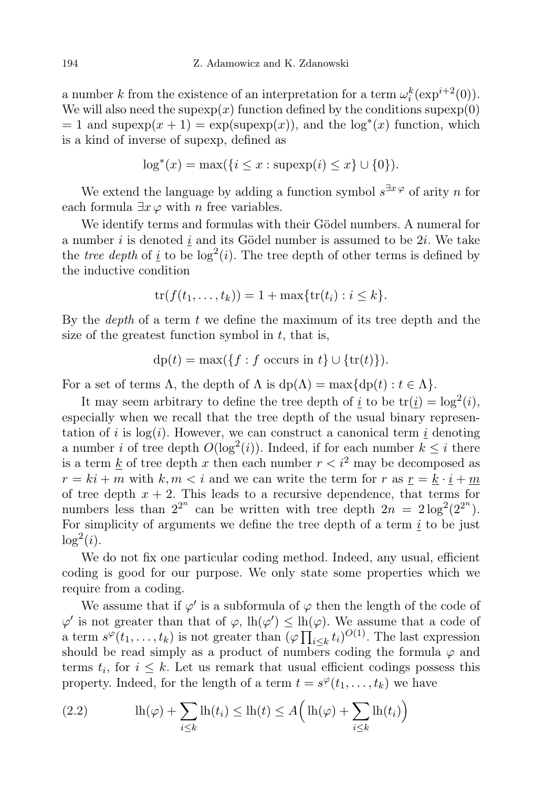a number k from the existence of an interpretation for a term  $\omega_i^k(\exp^{i+2}(0))$ . We will also need the supexp(x) function defined by the conditions supexp(0)  $= 1$  and supexp $(x + 1) = \exp(\text{supexp}(x))$ , and the  $\log^*(x)$  function, which is a kind of inverse of supexp, defined as

$$
\log^*(x) = \max(\{i \le x : \text{supexp}(i) \le x\} \cup \{0\}).
$$

We extend the language by adding a function symbol  $s^{\exists x \varphi}$  of arity n for each formula  $\exists x \varphi$  with *n* free variables.

We identify terms and formulas with their Gödel numbers. A numeral for a number i is denoted  $i$  and its Gödel number is assumed to be  $2i$ . We take the *tree depth* of <u>i</u> to be  $log^2(i)$ . The tree depth of other terms is defined by the inductive condition

$$
\operatorname{tr}(f(t_1,\ldots,t_k))=1+\max\{\operatorname{tr}(t_i):i\leq k\}.
$$

By the *depth* of a term  $t$  we define the maximum of its tree depth and the size of the greatest function symbol in  $t$ , that is,

$$
dp(t) = \max(\{f : f \text{ occurs in } t\} \cup \{tr(t)\}).
$$

For a set of terms  $\Lambda$ , the depth of  $\Lambda$  is  $dp(\Lambda) = \max\{dp(t) : t \in \Lambda\}.$ 

It may seem arbitrary to define the tree depth of  $\underline{i}$  to be  $tr(\underline{i}) = log^2(i)$ , especially when we recall that the tree depth of the usual binary representation of i is  $log(i)$ . However, we can construct a canonical term i denoting a number *i* of tree depth  $O(\log^2(i))$ . Indeed, if for each number  $k \leq i$  there is a term k of tree depth x then each number  $r < i^2$  may be decomposed as  $r = ki + m$  with  $k, m < i$  and we can write the term for r as  $r = k \cdot i + m$ of tree depth  $x + 2$ . This leads to a recursive dependence, that terms for numbers less than  $2^{2^n}$  can be written with tree depth  $2n = 2\log^2(2^{2^n})$ . For simplicity of arguments we define the tree depth of a term  $i$  to be just  $\log^2(i)$ .

We do not fix one particular coding method. Indeed, any usual, efficient coding is good for our purpose. We only state some properties which we require from a coding.

We assume that if  $\varphi'$  is a subformula of  $\varphi$  then the length of the code of  $\varphi'$  is not greater than that of  $\varphi$ ,  $lh(\varphi') \leq lh(\varphi)$ . We assume that a code of a term  $s^{\varphi}(t_1,\ldots,t_k)$  is not greater than  $(\varphi \prod_{i\leq k} t_i)^{O(1)}$ . The last expression should be read simply as a product of numbers coding the formula  $\varphi$  and terms  $t_i$ , for  $i \leq k$ . Let us remark that usual efficient codings possess this property. Indeed, for the length of a term  $t = s^{\varphi}(t_1, \ldots, t_k)$  we have

<span id="page-3-0"></span>(2.2) 
$$
\ln(\varphi) + \sum_{i \le k} \ln(t_i) \le \ln(t) \le A \Big( \ln(\varphi) + \sum_{i \le k} \ln(t_i) \Big)
$$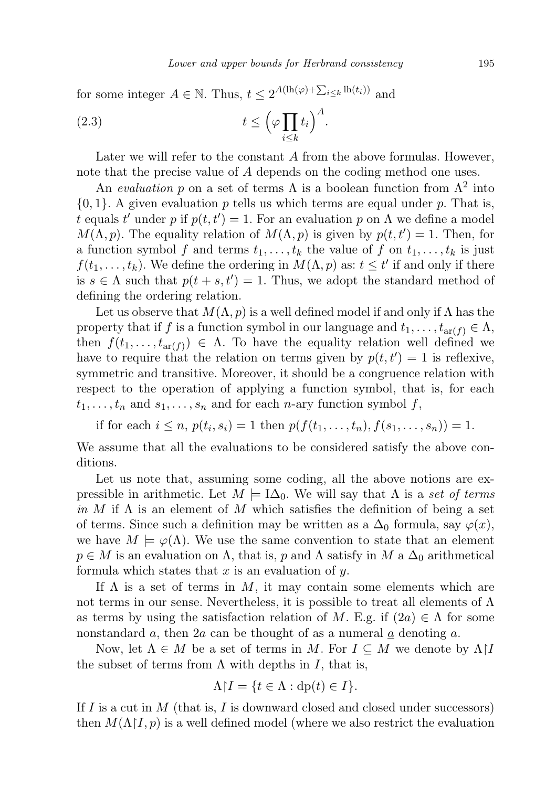for some integer  $A \in \mathbb{N}$ . Thus,  $t \leq 2^{A(\mathrm{lh}(\varphi)+\sum_{i\leq k}\mathrm{lh}(t_i))}$  and

(2.3) 
$$
t \leq \left(\varphi \prod_{i \leq k} t_i\right)^A.
$$

Later we will refer to the constant A from the above formulas. However, note that the precise value of A depends on the coding method one uses.

An evaluation p on a set of terms  $\Lambda$  is a boolean function from  $\Lambda^2$  into  ${0, 1}$ . A given evaluation p tells us which terms are equal under p. That is, t equals t' under p if  $p(t, t') = 1$ . For an evaluation p on  $\Lambda$  we define a model  $M(\Lambda, p)$ . The equality relation of  $M(\Lambda, p)$  is given by  $p(t, t') = 1$ . Then, for a function symbol f and terms  $t_1, \ldots, t_k$  the value of f on  $t_1, \ldots, t_k$  is just  $f(t_1, \ldots, t_k)$ . We define the ordering in  $M(\Lambda, p)$  as:  $t \leq t'$  if and only if there is  $s \in \Lambda$  such that  $p(t + s, t') = 1$ . Thus, we adopt the standard method of defining the ordering relation.

Let us observe that  $M(\Lambda, p)$  is a well defined model if and only if  $\Lambda$  has the property that if f is a function symbol in our language and  $t_1, \ldots, t_{\text{ar}(f)} \in \Lambda$ , then  $f(t_1,\ldots,t_{\operatorname{ar}(f)})\in\Lambda$ . To have the equality relation well defined we have to require that the relation on terms given by  $p(t, t') = 1$  is reflexive, symmetric and transitive. Moreover, it should be a congruence relation with respect to the operation of applying a function symbol, that is, for each  $t_1, \ldots, t_n$  and  $s_1, \ldots, s_n$  and for each *n*-ary function symbol f,

if for each  $i \leq n$ ,  $p(t_i, s_i) = 1$  then  $p(f(t_1, ..., t_n), f(s_1, ..., s_n)) = 1$ .

We assume that all the evaluations to be considered satisfy the above conditions.

Let us note that, assuming some coding, all the above notions are expressible in arithmetic. Let  $M = I\Delta_0$ . We will say that  $\Lambda$  is a set of terms in M if  $\Lambda$  is an element of M which satisfies the definition of being a set of terms. Since such a definition may be written as a  $\Delta_0$  formula, say  $\varphi(x)$ , we have  $M \models \varphi(\Lambda)$ . We use the same convention to state that an element  $p \in M$  is an evaluation on  $\Lambda$ , that is, p and  $\Lambda$  satisfy in  $M$  a  $\Delta_0$  arithmetical formula which states that  $x$  is an evaluation of  $y$ .

If  $\Lambda$  is a set of terms in M, it may contain some elements which are not terms in our sense. Nevertheless, it is possible to treat all elements of  $\Lambda$ as terms by using the satisfaction relation of M. E.g. if  $(2a) \in \Lambda$  for some nonstandard a, then 2a can be thought of as a numeral a denoting a.

Now, let  $\Lambda \in M$  be a set of terms in M. For  $I \subseteq M$  we denote by  $\Lambda$ |*I* the subset of terms from  $\Lambda$  with depths in I, that is,

$$
\Lambda \upharpoonright I = \{ t \in \Lambda : \text{dp}(t) \in I \}.
$$

If I is a cut in M (that is, I is downward closed and closed under successors) then  $M(\Lambda)I, p)$  is a well defined model (where we also restrict the evaluation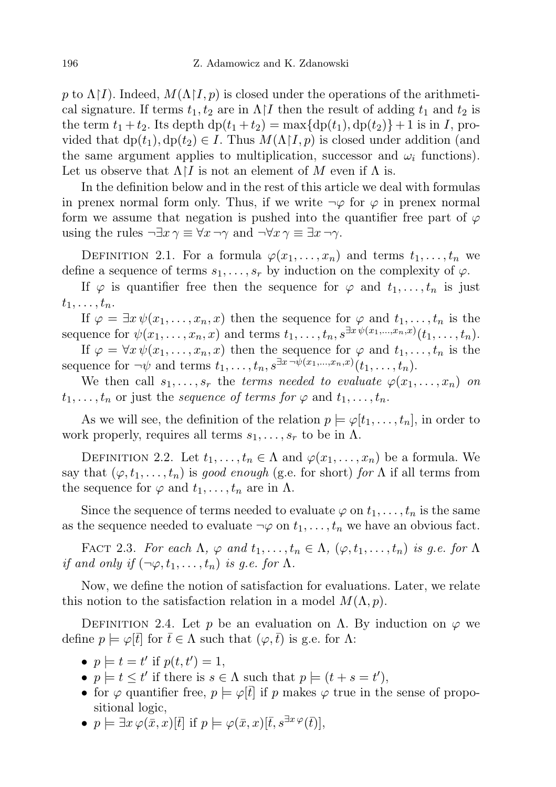p to  $\Lambda$ [I]. Indeed,  $M(\Lambda|I, p)$  is closed under the operations of the arithmetical signature. If terms  $t_1, t_2$  are in  $\Lambda$  I then the result of adding  $t_1$  and  $t_2$  is the term  $t_1 + t_2$ . Its depth  $dp(t_1 + t_2) = \max\{dp(t_1), dp(t_2)\} + 1$  is in I, provided that  $dp(t_1), dp(t_2) \in I$ . Thus  $M(\Lambda | I, p)$  is closed under addition (and the same argument applies to multiplication, successor and  $\omega_i$  functions). Let us observe that  $\Lambda$ [*I* is not an element of M even if  $\Lambda$  is.

In the definition below and in the rest of this article we deal with formulas in prenex normal form only. Thus, if we write  $\neg \varphi$  for  $\varphi$  in prenex normal form we assume that negation is pushed into the quantifier free part of  $\varphi$ using the rules  $\neg \exists x \gamma \equiv \forall x \neg \gamma$  and  $\neg \forall x \gamma \equiv \exists x \neg \gamma$ .

DEFINITION 2.1. For a formula  $\varphi(x_1,\ldots,x_n)$  and terms  $t_1,\ldots,t_n$  we define a sequence of terms  $s_1, \ldots, s_r$  by induction on the complexity of  $\varphi$ .

If  $\varphi$  is quantifier free then the sequence for  $\varphi$  and  $t_1, \ldots, t_n$  is just  $t_1, \ldots, t_n$ .

If  $\varphi = \exists x \psi(x_1, \ldots, x_n, x)$  then the sequence for  $\varphi$  and  $t_1, \ldots, t_n$  is the sequence for  $\psi(x_1,\ldots,x_n,x)$  and terms  $t_1,\ldots,t_n,s^{\exists x\psi(x_1,\ldots,x_n,x)}(t_1,\ldots,t_n)$ .

If  $\varphi = \forall x \psi(x_1, \ldots, x_n, x)$  then the sequence for  $\varphi$  and  $t_1, \ldots, t_n$  is the sequence for  $\neg \psi$  and terms  $t_1, \ldots, t_n, s^{\exists x \neg \psi(x_1, \ldots, x_n, x)}(t_1, \ldots, t_n)$ .

We then call  $s_1, \ldots, s_r$  the terms needed to evaluate  $\varphi(x_1, \ldots, x_n)$  on  $t_1, \ldots, t_n$  or just the sequence of terms for  $\varphi$  and  $t_1, \ldots, t_n$ .

As we will see, the definition of the relation  $p \models \varphi[t_1, \ldots, t_n]$ , in order to work properly, requires all terms  $s_1, \ldots, s_r$  to be in  $\Lambda$ .

DEFINITION 2.2. Let  $t_1, \ldots, t_n \in \Lambda$  and  $\varphi(x_1, \ldots, x_n)$  be a formula. We say that  $(\varphi, t_1, \ldots, t_n)$  is good enough (g.e. for short) for  $\Lambda$  if all terms from the sequence for  $\varphi$  and  $t_1, \ldots, t_n$  are in  $\Lambda$ .

Since the sequence of terms needed to evaluate  $\varphi$  on  $t_1, \ldots, t_n$  is the same as the sequence needed to evaluate  $\neg \varphi$  on  $t_1, \ldots, t_n$  we have an obvious fact.

FACT 2.3. For each  $\Lambda$ ,  $\varphi$  and  $t_1, \ldots, t_n \in \Lambda$ ,  $(\varphi, t_1, \ldots, t_n)$  is g.e. for  $\Lambda$ if and only if  $(\neg \varphi, t_1, \ldots, t_n)$  is g.e. for  $\Lambda$ .

Now, we define the notion of satisfaction for evaluations. Later, we relate this notion to the satisfaction relation in a model  $M(\Lambda, p)$ .

DEFINITION 2.4. Let p be an evaluation on Λ. By induction on  $\varphi$  we define  $p \models \varphi[t]$  for  $t \in \Lambda$  such that  $(\varphi, t)$  is g.e. for  $\Lambda$ :

- $p \models t = t'$  if  $p(t, t') = 1$ ,
- $p \models t \leq t'$  if there is  $s \in \Lambda$  such that  $p \models (t + s = t')$ ,
- for  $\varphi$  quantifier free,  $p \models \varphi[t]$  if p makes  $\varphi$  true in the sense of propositional logic,
- $p \models \exists x \varphi(\bar{x}, x) [\bar{t}]$  if  $p \models \varphi(\bar{x}, x) [\bar{t}, s^{\exists x \varphi}(\bar{t})],$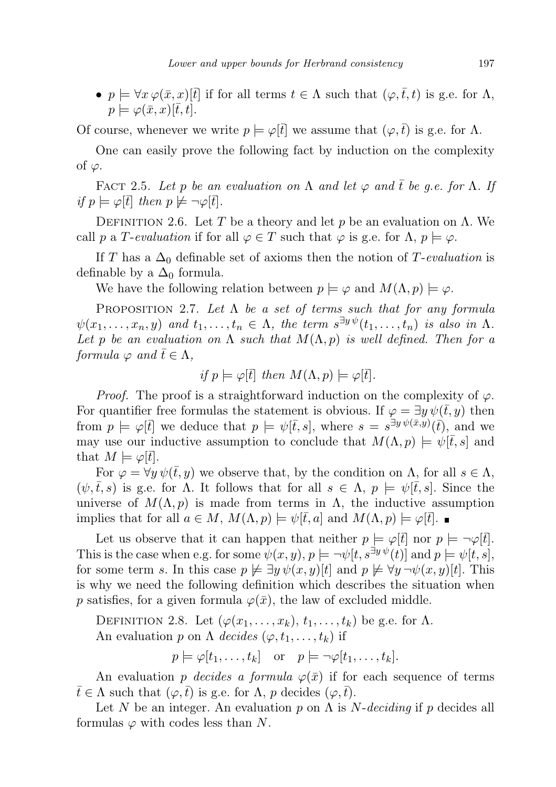•  $p \models \forall x \varphi(\bar{x}, x) \in \bar{t}$  if for all terms  $t \in \Lambda$  such that  $(\varphi, \bar{t}, t)$  is g.e. for  $\Lambda$ ,  $p \models \varphi(\bar{x}, x)[\bar{t}, t].$ 

Of course, whenever we write  $p \models \varphi[\vec{t}]$  we assume that  $(\varphi, \vec{t})$  is g.e. for  $\Lambda$ .

One can easily prove the following fact by induction on the complexity of  $\varphi$ .

<span id="page-6-0"></span>FACT 2.5. Let p be an evaluation on  $\Lambda$  and let  $\varphi$  and  $\overline{t}$  be q.e. for  $\Lambda$ . If if  $p \models \varphi[\bar{t}]$  then  $p \not\models \neg \varphi[\bar{t}].$ 

DEFINITION 2.6. Let T be a theory and let p be an evaluation on  $\Lambda$ . We call p a T-evaluation if for all  $\varphi \in T$  such that  $\varphi$  is g.e. for  $\Lambda$ ,  $p \models \varphi$ .

If T has a  $\Delta_0$  definable set of axioms then the notion of T-evaluation is definable by a  $\Delta_0$  formula.

We have the following relation between  $p \models \varphi$  and  $M(\Lambda, p) \models \varphi$ .

PROPOSITION 2.7. Let  $\Lambda$  be a set of terms such that for any formula  $\psi(x_1,\ldots,x_n,y)$  and  $t_1,\ldots,t_n \in \Lambda$ , the term  $s^{\exists y\psi}(t_1,\ldots,t_n)$  is also in  $\Lambda$ . Let p be an evaluation on  $\Lambda$  such that  $M(\Lambda, p)$  is well defined. Then for a formula  $\varphi$  and  $\overline{t} \in \Lambda$ ,

if 
$$
p \models \varphi[\bar{t}]
$$
 then  $M(\Lambda, p) \models \varphi[\bar{t}].$ 

*Proof.* The proof is a straightforward induction on the complexity of  $\varphi$ . For quantifier free formulas the statement is obvious. If  $\varphi = \exists y \psi(t, y)$  then from  $p \models \varphi[\bar{t}]$  we deduce that  $p \models \psi[\bar{t}, s]$ , where  $s = s^{\exists y \psi(\bar{x}, y)}(\bar{t})$ , and we may use our inductive assumption to conclude that  $M(\Lambda, p) \models \psi[\bar{t}, s]$  and that  $M \models \varphi[\bar{t}].$ 

For  $\varphi = \forall y \psi(\bar{t}, y)$  we observe that, by the condition on  $\Lambda$ , for all  $s \in \Lambda$ ,  $(\psi, \bar{t}, s)$  is g.e. for  $\Lambda$ . It follows that for all  $s \in \Lambda$ ,  $p \models \psi[\bar{t}, s]$ . Since the universe of  $M(\Lambda, p)$  is made from terms in  $\Lambda$ , the inductive assumption implies that for all  $a \in M$ ,  $M(\Lambda, p) \models \psi[t, a]$  and  $M(\Lambda, p) \models \varphi[t]$ .

Let us observe that it can happen that neither  $p \models \varphi[\vec{t}]$  nor  $p \models \neg \varphi[\vec{t}]$ . This is the case when e.g. for some  $\psi(x, y)$ ,  $p \models \neg \psi[t, s^{\exists y \psi}(t)]$  and  $p \models \psi[t, s]$ , for some term s. In this case  $p \not\in \exists y \psi(x, y)[t]$  and  $p \not\models \forall y \neg \psi(x, y)[t]$ . This is why we need the following definition which describes the situation when p satisfies, for a given formula  $\varphi(\bar{x})$ , the law of excluded middle.

DEFINITION 2.8. Let  $(\varphi(x_1, \ldots, x_k), t_1, \ldots, t_k)$  be g.e. for  $\Lambda$ . An evaluation p on  $\Lambda$  decides  $(\varphi, t_1, \ldots, t_k)$  if

$$
p \models \varphi[t_1, \ldots, t_k]
$$
 or  $p \models \neg \varphi[t_1, \ldots, t_k]$ .

An evaluation p decides a formula  $\varphi(\bar{x})$  if for each sequence of terms  $\bar{t} \in \Lambda$  such that  $(\varphi, \bar{t})$  is g.e. for  $\Lambda$ , p decides  $(\varphi, t)$ .

Let N be an integer. An evaluation p on  $\Lambda$  is N-deciding if p decides all formulas  $\varphi$  with codes less than N.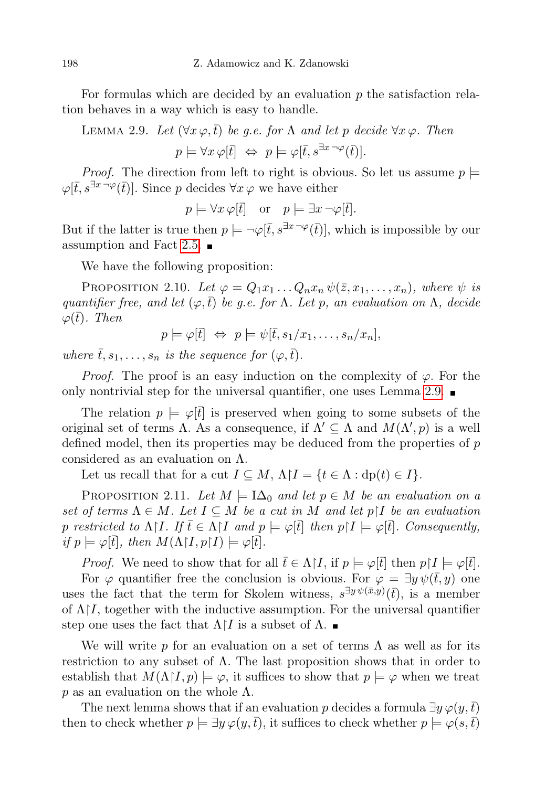For formulas which are decided by an evaluation  $p$  the satisfaction relation behaves in a way which is easy to handle.

<span id="page-7-0"></span>LEMMA 2.9. Let 
$$
(\forall x \varphi, \bar{t})
$$
 be g.e. for  $\Lambda$  and let p decide  $\forall x \varphi$ . Then  
\n
$$
p \models \forall x \varphi[\bar{t}] \Leftrightarrow p \models \varphi[\bar{t}, s^{\exists x \neg \varphi}(\bar{t})].
$$

*Proof.* The direction from left to right is obvious. So let us assume  $p \models$  $\varphi[\bar{t}, s^{\exists x \neg \varphi}(\bar{t})]$ . Since p decides  $\forall x \varphi$  we have either

 $p \models \forall x \varphi[\vec{t}]$  or  $p \models \exists x \neg \varphi[\vec{t}].$ 

But if the latter is true then  $p \models \neg \varphi[\bar{t}, s^{\exists x \neg \varphi}(\bar{t})]$ , which is impossible by our assumption and Fact [2.5.](#page-6-0)  $\blacksquare$ 

We have the following proposition:

PROPOSITION 2.10. Let  $\varphi = Q_1 x_1 \dots Q_n x_n \psi(\bar{z}, x_1, \dots, x_n)$ , where  $\psi$  is quantifier free, and let  $(\varphi, \bar{t})$  be g.e. for  $\Lambda$ . Let p, an evaluation on  $\Lambda$ , decide  $\varphi(\bar{t})$ . Then

$$
p \models \varphi[\bar{t}] \Leftrightarrow p \models \psi[\bar{t}, s_1/x_1, \ldots, s_n/x_n],
$$

where  $\bar{t}, s_1, \ldots, s_n$  is the sequence for  $(\varphi, \bar{t})$ .

*Proof.* The proof is an easy induction on the complexity of  $\varphi$ . For the only nontrivial step for the universal quantifier, one uses Lemma [2.9.](#page-7-0)  $\blacksquare$ 

The relation  $p \models \varphi[t]$  is preserved when going to some subsets of the original set of terms  $\Lambda$ . As a consequence, if  $\Lambda' \subseteq \Lambda$  and  $M(\Lambda', p)$  is a well defined model, then its properties may be deduced from the properties of p considered as an evaluation on Λ.

Let us recall that for a cut  $I \subseteq M$ ,  $\Lambda \upharpoonright I = \{t \in \Lambda : d p(t) \in I\}.$ 

<span id="page-7-1"></span>PROPOSITION 2.11. Let  $M \models \mathbf{I}\Delta_0$  and let  $p \in M$  be an evaluation on a set of terms  $\Lambda \in M$ . Let  $I \subseteq M$  be a cut in M and let  $p \upharpoonright I$  be an evaluation p restricted to  $\Lambda$ [*I*. If  $\overline{t} \in \Lambda$ [*I* and  $p \models \varphi[\overline{t}]$  then  $p\upharpoonright I \models \varphi[\overline{t}]$ . Consequently, if  $p \models \varphi[\bar{t}],$  then  $M(\Lambda \upharpoonright I, p \upharpoonright I) \models \varphi[\bar{t}].$ 

*Proof.* We need to show that for all  $\bar{t} \in \Lambda | I$ , if  $p \models \varphi[\bar{t}]$  then  $p \upharpoonright I \models \varphi[\bar{t}].$ 

For  $\varphi$  quantifier free the conclusion is obvious. For  $\varphi = \exists y \psi(\bar{t}, y)$  one uses the fact that the term for Skolem witness,  $s^{\exists y \psi(\bar{x},y)}(\bar{t})$ , is a member of  $\Lambda$ <sup>[*I*</sup>, together with the inductive assumption. For the universal quantifier step one uses the fact that  $\Lambda$ [*I* is a subset of  $\Lambda$ .

We will write p for an evaluation on a set of terms  $\Lambda$  as well as for its restriction to any subset of  $\Lambda$ . The last proposition shows that in order to establish that  $M(\Lambda\restriction I,p)\models\varphi$ , it suffices to show that  $p\models\varphi$  when we treat p as an evaluation on the whole  $\Lambda$ .

The next lemma shows that if an evaluation p decides a formula  $\exists y \varphi(y,t)$ then to check whether  $p \models \exists y \varphi(y, \bar{t})$ , it suffices to check whether  $p \models \varphi(s, \bar{t})$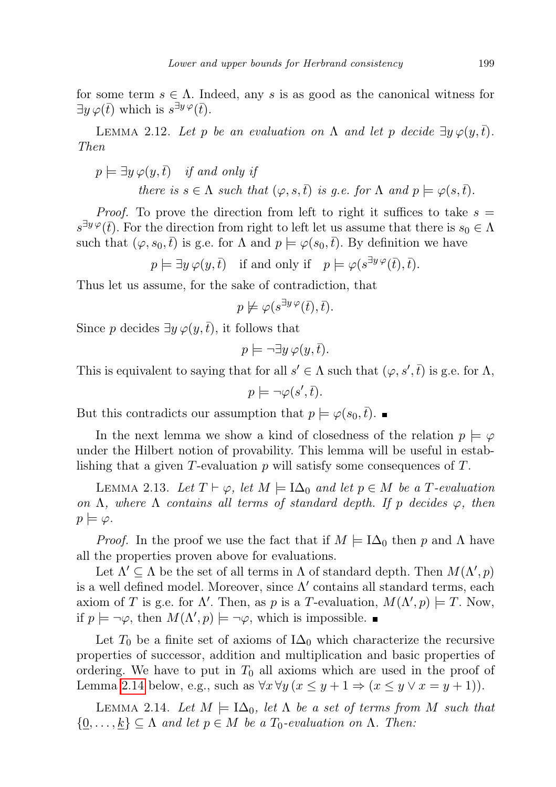for some term  $s \in \Lambda$ . Indeed, any s is as good as the canonical witness for  $\exists y \varphi(\bar{t})$  which is  $s^{\exists y \varphi}(\bar{t})$ .

<span id="page-8-1"></span>LEMMA 2.12. Let p be an evaluation on  $\Lambda$  and let p decide  $\exists y \varphi(y,t)$ . Then

$$
p \models \exists y \, \varphi(y, \bar{t}) \quad \text{if and only if} \\ there \text{ is } s \in \Lambda \text{ such that } (\varphi, s, \bar{t}) \text{ is } g.e. \text{ for } \Lambda \text{ and } p \models \varphi(s, \bar{t}).
$$

*Proof.* To prove the direction from left to right it suffices to take  $s =$  $s^{\exists y \varphi}(\bar{t})$ . For the direction from right to left let us assume that there is  $s_0 \in \Lambda$ such that  $(\varphi, s_0, \bar{t})$  is g.e. for  $\Lambda$  and  $p \models \varphi(s_0, \bar{t})$ . By definition we have

$$
p \models \exists y \varphi(y, \overline{t})
$$
 if and only if  $p \models \varphi(s^{\exists y \varphi}(\overline{t}), \overline{t})$ .

Thus let us assume, for the sake of contradiction, that

$$
p \not\models \varphi(s^{\exists y \varphi}(\bar{t}), \bar{t}).
$$

Since p decides  $\exists y \varphi(y, \bar{t})$ , it follows that

$$
p \models \neg \exists y \, \varphi(y, \bar{t}).
$$

This is equivalent to saying that for all  $s' \in \Lambda$  such that  $(\varphi, s', \bar{t})$  is g.e. for  $\Lambda$ ,

$$
p \models \neg \varphi(s', \overline{t}).
$$

But this contradicts our assumption that  $p \models \varphi(s_0, \bar{t})$ .

In the next lemma we show a kind of closedness of the relation  $p \models \varphi$ under the Hilbert notion of provability. This lemma will be useful in establishing that a given  $T$ -evaluation  $p$  will satisfy some consequences of  $T$ .

<span id="page-8-2"></span>LEMMA 2.13. Let  $T \vdash \varphi$ , let  $M \models \Box \Delta_0$  and let  $p \in M$  be a T-evaluation on  $\Lambda$ , where  $\Lambda$  contains all terms of standard depth. If p decides  $\varphi$ , then  $p \models \varphi$ .

*Proof.* In the proof we use the fact that if  $M \models \mathrm{IA}_0$  then p and  $\Lambda$  have all the properties proven above for evaluations.

Let  $\Lambda' \subseteq \Lambda$  be the set of all terms in  $\Lambda$  of standard depth. Then  $M(\Lambda', p)$ is a well defined model. Moreover, since  $\Lambda'$  contains all standard terms, each axiom of T is g.e. for  $\Lambda'$ . Then, as p is a T-evaluation,  $M(\Lambda', p) \models T$ . Now, if  $p \models \neg \varphi$ , then  $M(\Lambda', p) \models \neg \varphi$ , which is impossible.

Let  $T_0$  be a finite set of axioms of  $I\Delta_0$  which characterize the recursive properties of successor, addition and multiplication and basic properties of ordering. We have to put in  $T_0$  all axioms which are used in the proof of Lemma [2.14](#page-8-0) below, e.g., such as  $\forall x \forall y (x \leq y + 1 \Rightarrow (x \leq y \lor x = y + 1)).$ 

<span id="page-8-0"></span>LEMMA 2.14. Let  $M \models \mathbb{I}\Delta_0$ , let  $\Lambda$  be a set of terms from M such that  $\{0,\ldots,k\} \subseteq \Lambda$  and let  $p \in M$  be a  $T_0$ -evaluation on  $\Lambda$ . Then: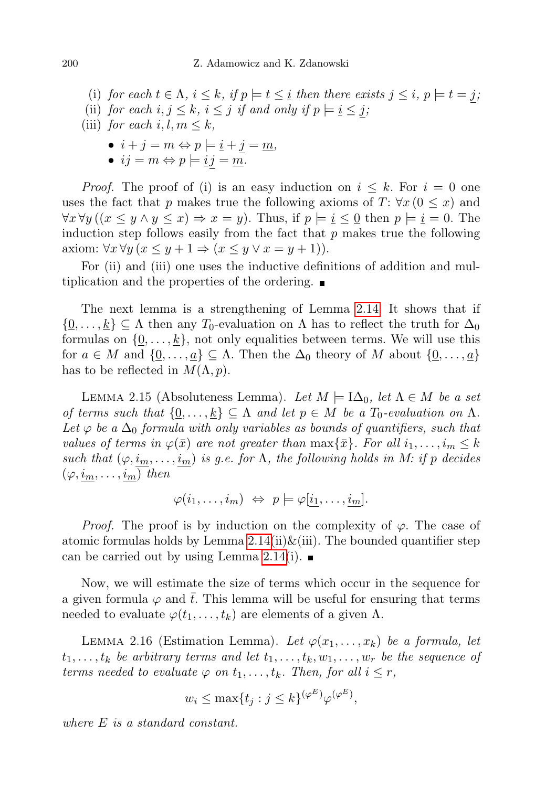- (i) for each  $t \in \Lambda$ ,  $i \leq k$ , if  $p \models t \leq i$  then there exists  $j \leq i$ ,  $p \models t = j$ ;
- (ii) for each  $i, j \leq k, i \leq j$  if and only if  $p \models i \leq j$ ;
- (iii) for each i, l,  $m \leq k$ ,
	- $i + j = m \Leftrightarrow p \models i + j = m,$
	- $ij = m \Leftrightarrow p \models \underline{i} \, j = \underline{m}.$

*Proof.* The proof of (i) is an easy induction on  $i \leq k$ . For  $i = 0$  one uses the fact that p makes true the following axioms of  $T: \forall x (0 \leq x)$  and  $\forall x \forall y ((x \leq y \land y \leq x) \Rightarrow x = y)$ . Thus, if  $p \models i \leq 0$  then  $p \models i = 0$ . The induction step follows easily from the fact that  $p$  makes true the following axiom:  $\forall x \forall y (x \leq y + 1 \Rightarrow (x \leq y \lor x = y + 1)).$ 

For (ii) and (iii) one uses the inductive definitions of addition and multiplication and the properties of the ordering.

The next lemma is a strengthening of Lemma [2.14.](#page-8-0) It shows that if  $\{0,\ldots,k\}$   $\subseteq$   $\Lambda$  then any  $T_0$ -evaluation on  $\Lambda$  has to reflect the truth for  $\Delta_0$ formulas on  $\{\underline{0}, \ldots, \underline{k}\}$ , not only equalities between terms. We will use this for  $a \in M$  and  $\{0, \ldots, a\} \subseteq \Lambda$ . Then the  $\Delta_0$  theory of M about  $\{0, \ldots, a\}$ has to be reflected in  $M(\Lambda, p)$ .

LEMMA 2.15 (Absoluteness Lemma). Let  $M \models \mathbb{I}\Delta_0$ , let  $\Lambda \in M$  be a set of terms such that  $\{0,\ldots,k\} \subseteq \Lambda$  and let  $p \in M$  be a  $T_0$ -evaluation on  $\Lambda$ . Let  $\varphi$  be a  $\Delta_0$  formula with only variables as bounds of quantifiers, such that values of terms in  $\varphi(\bar{x})$  are not greater than  $\max\{\bar{x}\}\$ . For all  $i_1,\ldots,i_m\leq k$ such that  $(\varphi, i_m, \ldots, i_m)$  is g.e. for  $\Lambda$ , the following holds in M: if p decides  $(\varphi, i_m, \ldots, i_m)$  then

$$
\varphi(i_1,\ldots,i_m) \Leftrightarrow p \models \varphi[\underline{i_1},\ldots,\underline{i_m}].
$$

*Proof.* The proof is by induction on the complexity of  $\varphi$ . The case of atomic formulas holds by Lemma  $2.14(ii) \& (iii)$ . The bounded quantifier step can be carried out by using Lemma [2.14\(](#page-8-0)i).  $\blacksquare$ 

Now, we will estimate the size of terms which occur in the sequence for a given formula  $\varphi$  and  $\bar{t}$ . This lemma will be useful for ensuring that terms needed to evaluate  $\varphi(t_1,\ldots,t_k)$  are elements of a given  $\Lambda$ .

LEMMA 2.16 (Estimation Lemma). Let  $\varphi(x_1,\ldots,x_k)$  be a formula, let  $t_1, \ldots, t_k$  be arbitrary terms and let  $t_1, \ldots, t_k, w_1, \ldots, w_r$  be the sequence of terms needed to evaluate  $\varphi$  on  $t_1, \ldots, t_k$ . Then, for all  $i \leq r$ ,

$$
w_i \le \max\{t_j : j \le k\}^{(\varphi^E)} \varphi^{(\varphi^E)},
$$

where E is a standard constant.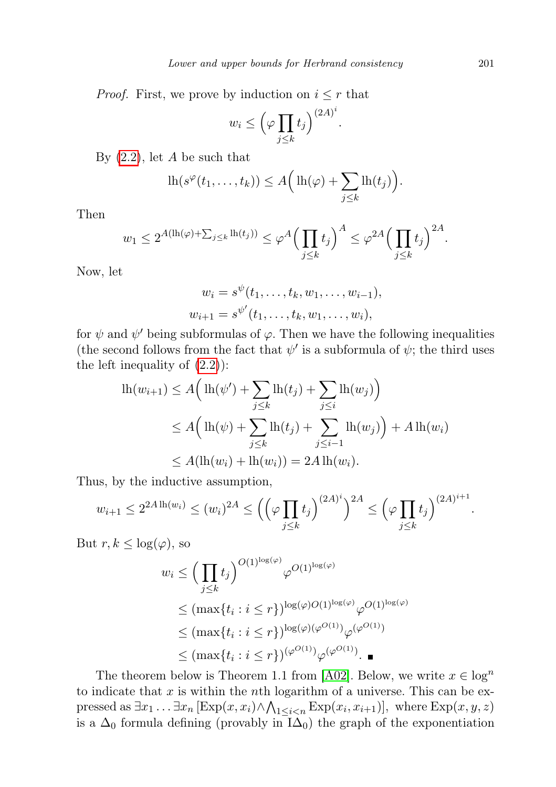*Proof.* First, we prove by induction on  $i \leq r$  that

$$
w_i \leq \left(\varphi \prod_{j \leq k} t_j\right)^{(2A)^i}
$$

.

By  $(2.2)$ , let A be such that

$$
\mathrm{lh}(s^{\varphi}(t_1,\ldots,t_k))\leq A\Big(\,\mathrm{lh}(\varphi)+\sum_{j\leq k}\mathrm{lh}(t_j)\Big).
$$

Then

$$
w_1 \le 2^{A(\ln(\varphi) + \sum_{j \le k} \ln(t_j))} \le \varphi^A \Big(\prod_{j \le k} t_j\Big)^A \le \varphi^{2A} \Big(\prod_{j \le k} t_j\Big)^{2A}.
$$

Now, let

$$
w_i = s^{\psi}(t_1, \dots, t_k, w_1, \dots, w_{i-1}),
$$
  

$$
w_{i+1} = s^{\psi'}(t_1, \dots, t_k, w_1, \dots, w_i),
$$

for  $\psi$  and  $\psi'$  being subformulas of  $\varphi$ . Then we have the following inequalities (the second follows from the fact that  $\psi'$  is a subformula of  $\psi$ ; the third uses the left inequality of  $(2.2)$ :

$$
\begin{aligned} \text{lh}(w_{i+1}) &\le A \Big( \text{lh}(\psi') + \sum_{j \le k} \text{lh}(t_j) + \sum_{j \le i} \text{lh}(w_j) \Big) \\ &\le A \Big( \text{lh}(\psi) + \sum_{j \le k} \text{lh}(t_j) + \sum_{j \le i-1} \text{lh}(w_j) \Big) + A \, \text{lh}(w_i) \\ &\le A(\text{lh}(w_i) + \text{lh}(w_i)) = 2A \, \text{lh}(w_i). \end{aligned}
$$

Thus, by the inductive assumption,

$$
w_{i+1} \le 2^{2A \ln(w_i)} \le (w_i)^{2A} \le \left( \left( \varphi \prod_{j \le k} t_j \right)^{(2A)^i} \right)^{2A} \le \left( \varphi \prod_{j \le k} t_j \right)^{(2A)^{i+1}}.
$$

But  $r, k \leq \log(\varphi)$ , so

$$
w_i \leq \left(\prod_{j\leq k} t_j\right)^{O(1)^{\log(\varphi)}} \varphi^{O(1)^{\log(\varphi)}}
$$
  
\$\leq (\max\{t\_i : i \leq r\})^{\log(\varphi)O(1)^{\log(\varphi)}} \varphi^{O(1)^{\log(\varphi)}}  
\$\leq (\max\{t\_i : i \leq r\})^{\log(\varphi)(\varphi^{O(1)})} \varphi^{(\varphi^{O(1)})}  
\$\leq (\max\{t\_i : i \leq r\})^{(\varphi^{O(1)})} \varphi^{(\varphi^{O(1)})}.\n\quad

The theorem below is Theorem 1.1 from [\[A02\]](#page-25-6). Below, we write  $x \in \log^n$ to indicate that  $x$  is within the *n*th logarithm of a universe. This can be expressed as  $\exists x_1 \ldots \exists x_n [\text{Exp}(x, x_i) \land \bigwedge_{1 \leq i < n} \text{Exp}(x_i, x_{i+1})], \text{ where } \text{Exp}(x, y, z)$ is a  $\Delta_0$  formula defining (provably in  $\overline{I}\Delta_0$ ) the graph of the exponentiation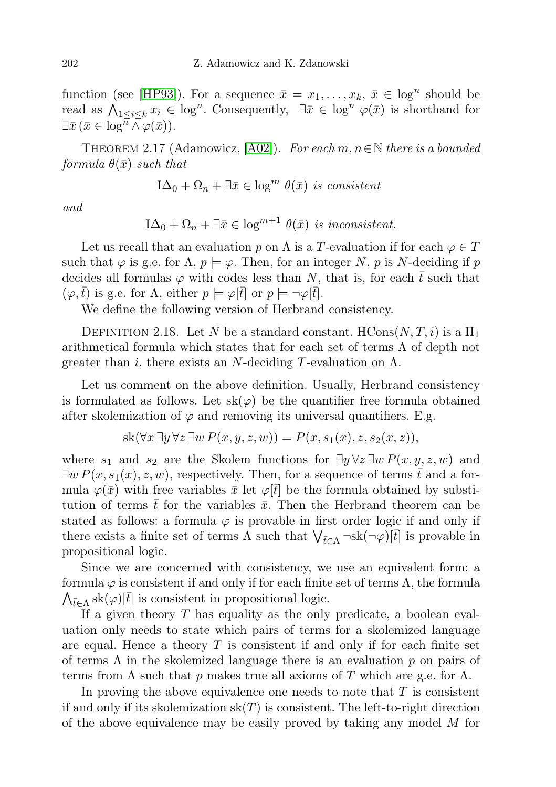function (see [\[HP93\]](#page-25-5)). For a sequence  $\bar{x} = x_1, \ldots, x_k, \bar{x} \in \log^n$  should be read as  $\bigwedge_{1\leq i\leq k}x_i\in \log^n$ . Consequently,  $\exists \bar{x}\in \log^n\varphi(\bar{x})$  is shorthand for  $\exists \bar{x} \, (\bar{x} \in \log^{\overline{n}} \wedge \varphi(\bar{x})).$ 

<span id="page-11-0"></span>THEOREM 2.17 (Adamowicz,  $|A02|$ ). For each  $m, n \in \mathbb{N}$  there is a bounded  $formula \theta(\bar{x}) \ such \ that$ 

$$
I\Delta_0 + \Omega_n + \exists \bar{x} \in \log^m \theta(\bar{x}) \text{ is consistent}
$$

and

$$
I\Delta_0 + \Omega_n + \exists \bar{x} \in \log^{m+1} \theta(\bar{x}) \text{ is inconsistent.}
$$

Let us recall that an evaluation p on  $\Lambda$  is a T-evaluation if for each  $\varphi \in T$ such that  $\varphi$  is g.e. for  $\Lambda$ ,  $p \models \varphi$ . Then, for an integer N, p is N-deciding if p decides all formulas  $\varphi$  with codes less than N, that is, for each  $\bar{t}$  such that  $(\varphi, t)$  is g.e. for  $\Lambda$ , either  $p \models \varphi[t]$  or  $p \models \neg \varphi[t]$ .

We define the following version of Herbrand consistency.

DEFINITION 2.18. Let N be a standard constant. HCons $(N, T, i)$  is a  $\Pi_1$ arithmetical formula which states that for each set of terms  $\Lambda$  of depth not greater than i, there exists an N-deciding T-evaluation on  $\Lambda$ .

Let us comment on the above definition. Usually, Herbrand consistency is formulated as follows. Let  $sk(\varphi)$  be the quantifier free formula obtained after skolemization of  $\varphi$  and removing its universal quantifiers. E.g.

$$
sk(\forall x \exists y \forall z \exists w P(x, y, z, w)) = P(x, s_1(x), z, s_2(x, z)),
$$

where  $s_1$  and  $s_2$  are the Skolem functions for  $\exists y \forall z \exists w P(x, y, z, w)$  and  $\exists w P(x, s_1(x), z, w)$ , respectively. Then, for a sequence of terms  $\overline{t}$  and a formula  $\varphi(\bar{x})$  with free variables  $\bar{x}$  let  $\varphi[\bar{t}]$  be the formula obtained by substitution of terms t for the variables  $\bar{x}$ . Then the Herbrand theorem can be stated as follows: a formula  $\varphi$  is provable in first order logic if and only if there exists a finite set of terms  $\Lambda$  such that  $\bigvee_{\bar{t}\in\Lambda} \neg \text{sk}(\neg \varphi)[\bar{t}]$  is provable in propositional logic.

Since we are concerned with consistency, we use an equivalent form: a formula  $\varphi$  is consistent if and only if for each finite set of terms  $\Lambda$ , the formula  $\bigwedge_{\bar{t}\in\Lambda} \text{sk}(\varphi)[\bar{t}]$  is consistent in propositional logic.

If a given theory  $T$  has equality as the only predicate, a boolean evaluation only needs to state which pairs of terms for a skolemized language are equal. Hence a theory  $T$  is consistent if and only if for each finite set of terms  $\Lambda$  in the skolemized language there is an evaluation p on pairs of terms from  $\Lambda$  such that p makes true all axioms of T which are g.e. for  $\Lambda$ .

In proving the above equivalence one needs to note that  $T$  is consistent if and only if its skolemization  $sk(T)$  is consistent. The left-to-right direction of the above equivalence may be easily proved by taking any model  $M$  for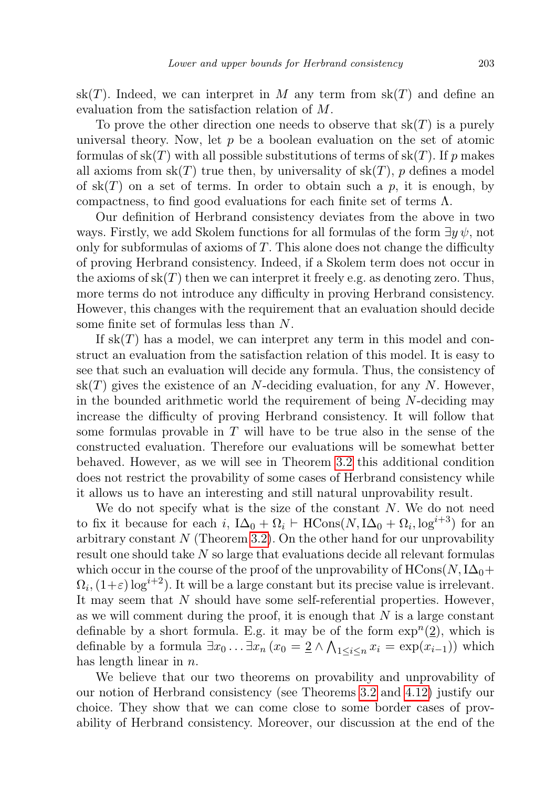$sk(T)$ . Indeed, we can interpret in M any term from  $sk(T)$  and define an evaluation from the satisfaction relation of M.

To prove the other direction one needs to observe that  $sk(T)$  is a purely universal theory. Now, let  $p$  be a boolean evaluation on the set of atomic formulas of  $sk(T)$  with all possible substitutions of terms of  $sk(T)$ . If p makes all axioms from  $sk(T)$  true then, by universality of  $sk(T)$ , p defines a model of  $sk(T)$  on a set of terms. In order to obtain such a p, it is enough, by compactness, to find good evaluations for each finite set of terms  $\Lambda$ .

Our definition of Herbrand consistency deviates from the above in two ways. Firstly, we add Skolem functions for all formulas of the form  $\exists y \psi$ , not only for subformulas of axioms of  $T$ . This alone does not change the difficulty of proving Herbrand consistency. Indeed, if a Skolem term does not occur in the axioms of  $sk(T)$  then we can interpret it freely e.g. as denoting zero. Thus, more terms do not introduce any difficulty in proving Herbrand consistency. However, this changes with the requirement that an evaluation should decide some finite set of formulas less than N.

If  $sk(T)$  has a model, we can interpret any term in this model and construct an evaluation from the satisfaction relation of this model. It is easy to see that such an evaluation will decide any formula. Thus, the consistency of  $sk(T)$  gives the existence of an N-deciding evaluation, for any N. However, in the bounded arithmetic world the requirement of being  $N$ -deciding may increase the difficulty of proving Herbrand consistency. It will follow that some formulas provable in  $T$  will have to be true also in the sense of the constructed evaluation. Therefore our evaluations will be somewhat better behaved. However, as we will see in Theorem [3.2](#page-13-0) this additional condition does not restrict the provability of some cases of Herbrand consistency while it allows us to have an interesting and still natural unprovability result.

We do not specify what is the size of the constant  $N$ . We do not need to fix it because for each i,  $I\Delta_0 + \Omega_i \vdash \text{HCons}(N, I\Delta_0 + \Omega_i, \log^{i+3})$  for an arbitrary constant  $N$  (Theorem [3.2\)](#page-13-0). On the other hand for our unprovability result one should take N so large that evaluations decide all relevant formulas which occur in the course of the proof of the unprovability of  $HCons(N, I\Delta_0+$  $\Omega_i, (1+\varepsilon) \log^{i+2}$ ). It will be a large constant but its precise value is irrelevant. It may seem that  $N$  should have some self-referential properties. However, as we will comment during the proof, it is enough that  $N$  is a large constant definable by a short formula. E.g. it may be of the form  $\exp^{n}(\underline{2})$ , which is definable by a formula  $\exists x_0 \ldots \exists x_n (x_0 = 2 \land \bigwedge_{1 \le i \le n} x_i = \exp(x_{i-1}))$  which has length linear in  $n$ .

We believe that our two theorems on provability and unprovability of our notion of Herbrand consistency (see Theorems [3.2](#page-13-0) and [4.12\)](#page-25-4) justify our choice. They show that we can come close to some border cases of provability of Herbrand consistency. Moreover, our discussion at the end of the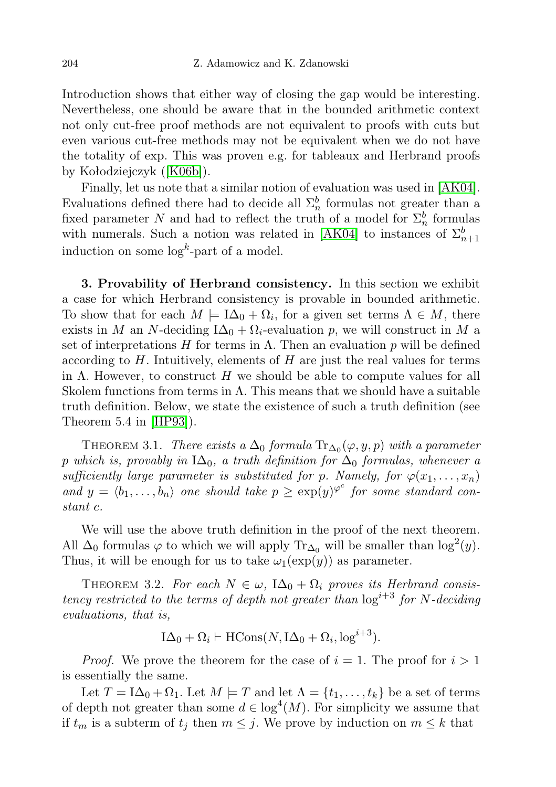Introduction shows that either way of closing the gap would be interesting. Nevertheless, one should be aware that in the bounded arithmetic context not only cut-free proof methods are not equivalent to proofs with cuts but even various cut-free methods may not be equivalent when we do not have the totality of exp. This was proven e.g. for tableaux and Herbrand proofs by Kołodziejczyk ([\[K06b\]](#page-25-7)).

Finally, let us note that a similar notion of evaluation was used in [\[AK04\]](#page-25-8). Evaluations defined there had to decide all  $\Sigma_n^b$  formulas not greater than a fixed parameter N and had to reflect the truth of a model for  $\Sigma_n^b$  formulas with numerals. Such a notion was related in [\[AK04\]](#page-25-8) to instances of  $\Sigma_{n+1}^b$ induction on some  $\log^k$ -part of a model.

<span id="page-13-1"></span>3. Provability of Herbrand consistency. In this section we exhibit a case for which Herbrand consistency is provable in bounded arithmetic. To show that for each  $M \models \mathrm{I}\Delta_0 + \Omega_i$ , for a given set terms  $\Lambda \in M$ , there exists in M an N-deciding  $I\Delta_0 + \Omega_i$ -evaluation p, we will construct in M a set of interpretations H for terms in  $\Lambda$ . Then an evaluation p will be defined according to  $H$ . Intuitively, elements of  $H$  are just the real values for terms in  $\Lambda$ . However, to construct H we should be able to compute values for all Skolem functions from terms in  $\Lambda$ . This means that we should have a suitable truth definition. Below, we state the existence of such a truth definition (see Theorem 5.4 in [\[HP93\]](#page-25-5)).

THEOREM 3.1. There exists a  $\Delta_0$  formula  $\text{Tr}_{\Delta_0}(\varphi, y, p)$  with a parameter p which is, provably in  $I\Delta_0$ , a truth definition for  $\Delta_0$  formulas, whenever a sufficiently large parameter is substituted for p. Namely, for  $\varphi(x_1, \ldots, x_n)$ and  $y = \langle b_1, \ldots, b_n \rangle$  one should take  $p \geq \exp(y)^{\varphi^c}$  for some standard constant c.

We will use the above truth definition in the proof of the next theorem. All  $\Delta_0$  formulas  $\varphi$  to which we will apply Tr<sub> $\Delta_0$ </sub> will be smaller than log<sup>2</sup>(y). Thus, it will be enough for us to take  $\omega_1(\exp(y))$  as parameter.

<span id="page-13-0"></span>THEOREM 3.2. For each  $N \in \omega$ ,  $I\Delta_0 + \Omega_i$  proves its Herbrand consistency restricted to the terms of depth not greater than  $\log^{i+3}$  for N-deciding evaluations, that is,

$$
I\Delta_0 + \Omega_i \vdash \text{HCons}(N, I\Delta_0 + \Omega_i, \log^{i+3}).
$$

*Proof.* We prove the theorem for the case of  $i = 1$ . The proof for  $i > 1$ is essentially the same.

Let  $T = I\Delta_0 + \Omega_1$ . Let  $M \models T$  and let  $\Lambda = \{t_1, \ldots, t_k\}$  be a set of terms of depth not greater than some  $d \in \log^4(M)$ . For simplicity we assume that if  $t_m$  is a subterm of  $t_j$  then  $m \leq j$ . We prove by induction on  $m \leq k$  that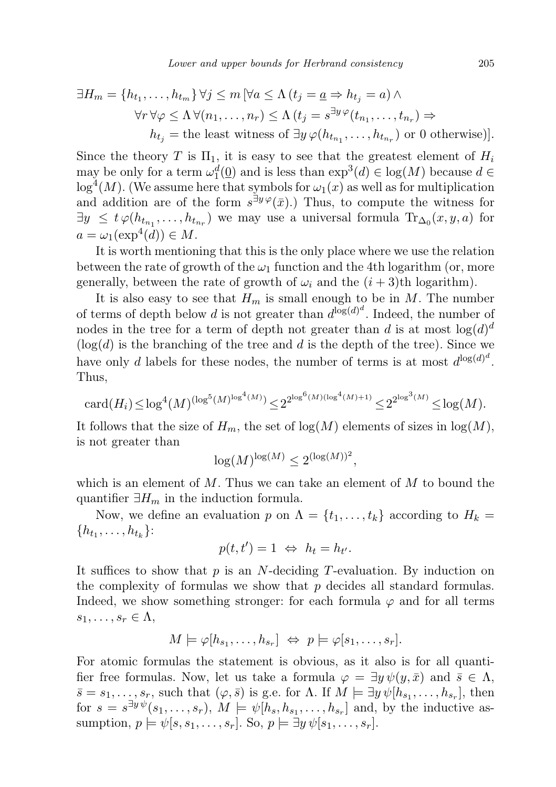$$
\exists H_m = \{h_{t_1}, \dots, h_{t_m}\} \forall j \le m \left[\forall a \le \Lambda \left(t_j = \underline{a} \Rightarrow h_{t_j} = a\right) \land \forall r \forall \varphi \le \Lambda \forall (n_1, \dots, n_r) \le \Lambda \left(t_j = s^{\exists y \varphi}(t_{n_1}, \dots, t_{n_r}) \Rightarrow h_{t_j} = \text{the least witness of } \exists y \varphi(h_{t_{n_1}}, \dots, h_{t_{n_r}}) \text{ or } 0 \text{ otherwise}\}\right].
$$

Since the theory T is  $\Pi_1$ , it is easy to see that the greatest element of  $H_i$ may be only for a term  $\omega_1^d(\underline{0})$  and is less than  $\exp^3(d) \in \log(M)$  because  $d \in$  $\log^4(M)$ . (We assume here that symbols for  $\omega_1(x)$  as well as for multiplication and addition are of the form  $s^{\exists y \varphi}(\bar{x})$ . Thus, to compute the witness for  $\exists y \leq t \varphi(h_{t_{n_1}}, \ldots, h_{t_{n_r}})$  we may use a universal formula  $\text{Tr}_{\Delta_0}(x, y, a)$  for  $a = \omega_1(\exp^4(d)) \in M$ .

It is worth mentioning that this is the only place where we use the relation between the rate of growth of the  $\omega_1$  function and the 4th logarithm (or, more generally, between the rate of growth of  $\omega_i$  and the  $(i+3)$ th logarithm).

It is also easy to see that  $H_m$  is small enough to be in M. The number of terms of depth below d is not greater than  $d^{\log(d)^d}$ . Indeed, the number of nodes in the tree for a term of depth not greater than d is at most  $\log(d)^d$  $(\log(d)$  is the branching of the tree and d is the depth of the tree). Since we have only d labels for these nodes, the number of terms is at most  $d^{\log(d)^d}$ . Thus,

$$
{\rm card}(H_i)\!\leq\!\log^4(M)^{(\log^5(M)^{\log^4(M)})}\!\leq\!2^{2^{\log^6(M)(\log^4(M)+1)}}\!\leq\!2^{2^{\log^3(M)}}\!\leq\!\log(M).
$$

It follows that the size of  $H_m$ , the set of  $log(M)$  elements of sizes in  $log(M)$ , is not greater than

$$
\log(M)^{\log(M)} \le 2^{(\log(M))^2},
$$

which is an element of  $M$ . Thus we can take an element of  $M$  to bound the quantifier  $\exists H_m$  in the induction formula.

Now, we define an evaluation p on  $\Lambda = \{t_1, \ldots, t_k\}$  according to  $H_k =$  $\{h_{t_1}, \ldots, h_{t_k}\}$ :

$$
p(t, t') = 1 \Leftrightarrow h_t = h_{t'}.
$$

It suffices to show that  $p$  is an  $N$ -deciding  $T$ -evaluation. By induction on the complexity of formulas we show that  $p$  decides all standard formulas. Indeed, we show something stronger: for each formula  $\varphi$  and for all terms  $s_1, \ldots, s_r \in \Lambda$ ,

$$
M\models\varphi[h_{s_1},\ldots,h_{s_r}]\ \Leftrightarrow\ p\models\varphi[s_1,\ldots,s_r].
$$

For atomic formulas the statement is obvious, as it also is for all quantifier free formulas. Now, let us take a formula  $\varphi = \exists y \psi(y, \bar{x})$  and  $\bar{s} \in \Lambda$ ,  $\bar{s} = s_1, \ldots, s_r$ , such that  $(\varphi, \bar{s})$  is g.e. for  $\Lambda$ . If  $M \models \exists y \psi[h_{s_1}, \ldots, h_{s_r}],$  then for  $s = s^{\exists y \psi}(s_1, \ldots, s_r)$ ,  $M \models \psi[h_s, h_{s_1}, \ldots, h_{s_r}]$  and, by the inductive assumption,  $p \models \psi[s, s_1, \ldots, s_r]$ . So,  $p \models \exists y \psi[s_1, \ldots, s_r]$ .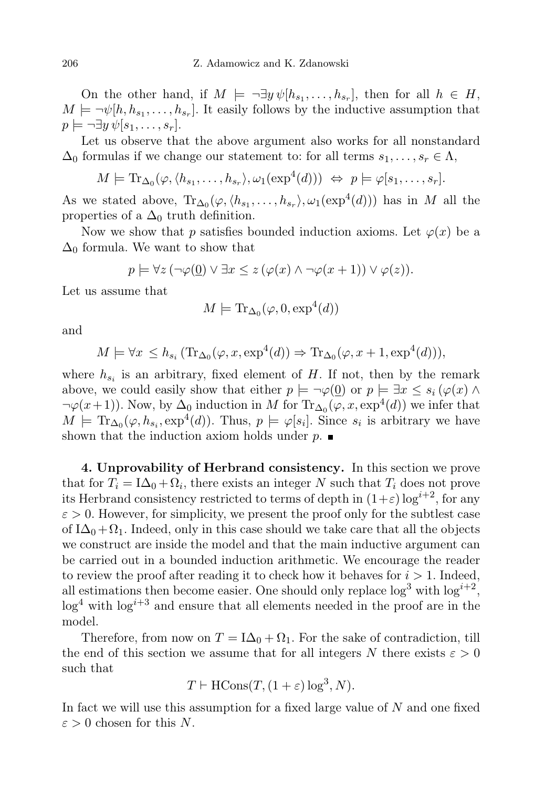On the other hand, if  $M \models \neg \exists y \psi[h_{s_1}, \ldots, h_{s_r}],$  then for all  $h \in H$ ,  $M \models \neg \psi[h, h_{s_1}, \dots, h_{s_r}].$  It easily follows by the inductive assumption that  $p \models \neg \exists y \psi[s_1, \ldots, s_r].$ 

Let us observe that the above argument also works for all nonstandard  $\Delta_0$  formulas if we change our statement to: for all terms  $s_1, \ldots, s_r \in \Lambda$ ,

$$
M \models \mathrm{Tr}_{\Delta_0}(\varphi, \langle h_{s_1}, \ldots, h_{s_r} \rangle, \omega_1(\exp^4(d))) \ \Leftrightarrow \ p \models \varphi[s_1, \ldots, s_r].
$$

As we stated above,  $\text{Tr}_{\Delta_0}(\varphi, \langle h_{s_1}, \ldots, h_{s_r} \rangle, \omega_1(\exp^4(d)))$  has in M all the properties of a  $\Delta_0$  truth definition.

Now we show that p satisfies bounded induction axioms. Let  $\varphi(x)$  be a  $\Delta_0$  formula. We want to show that

$$
p \models \forall z (\neg \varphi(\underline{0}) \lor \exists x \leq z (\varphi(x) \land \neg \varphi(x+1)) \lor \varphi(z)).
$$

Let us assume that

$$
M \models \text{Tr}_{\Delta_0}(\varphi, 0, \exp^4(d))
$$

and

$$
M \models \forall x \le h_{s_i} (\text{Tr}_{\Delta_0}(\varphi, x, \exp^4(d)) \Rightarrow \text{Tr}_{\Delta_0}(\varphi, x + 1, \exp^4(d))),
$$

where  $h_{s_i}$  is an arbitrary, fixed element of H. If not, then by the remark above, we could easily show that either  $p \models \neg \varphi(\underline{0})$  or  $p \models \exists x \leq s_i (\varphi(x) \land \varphi(x))$  $\neg \varphi(x+1)$ . Now, by  $\Delta_0$  induction in M for  $\text{Tr}_{\Delta_0}(\varphi, x, \exp^4(d))$  we infer that  $M \models Tr_{\Delta_0}(\varphi, h_{s_i}, \exp^4(d)).$  Thus,  $p \models \varphi[s_i]$ . Since  $s_i$  is arbitrary we have shown that the induction axiom holds under  $p$ .

<span id="page-15-0"></span>4. Unprovability of Herbrand consistency. In this section we prove that for  $T_i = I\Delta_0 + \Omega_i$ , there exists an integer N such that  $T_i$  does not prove its Herbrand consistency restricted to terms of depth in  $(1+\varepsilon) \log^{i+2}$ , for any  $\varepsilon > 0$ . However, for simplicity, we present the proof only for the subtlest case of  $I\Delta_0 + \Omega_1$ . Indeed, only in this case should we take care that all the objects we construct are inside the model and that the main inductive argument can be carried out in a bounded induction arithmetic. We encourage the reader to review the proof after reading it to check how it behaves for  $i > 1$ . Indeed, all estimations then become easier. One should only replace  $\log^3$  with  $\log^{i+2}$ ,  $\log^4$  with  $\log^{i+3}$  and ensure that all elements needed in the proof are in the model.

Therefore, from now on  $T = I\Delta_0 + \Omega_1$ . For the sake of contradiction, till the end of this section we assume that for all integers N there exists  $\varepsilon > 0$ such that

$$
T \vdash \text{HCons}(T, (1+\varepsilon)\log^3, N).
$$

In fact we will use this assumption for a fixed large value of N and one fixed  $\varepsilon > 0$  chosen for this N.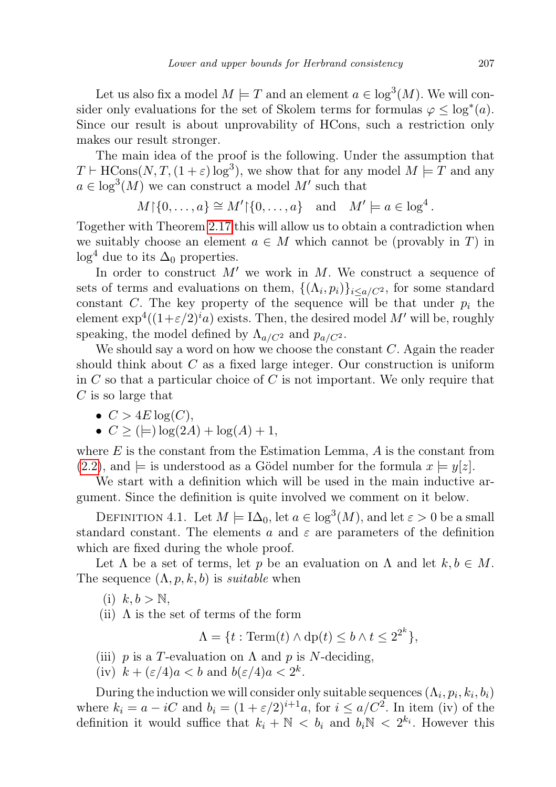Let us also fix a model  $M \models T$  and an element  $a \in \log^3(M)$ . We will consider only evaluations for the set of Skolem terms for formulas  $\varphi \leq \log^*(a)$ . Since our result is about unprovability of HCons, such a restriction only makes our result stronger.

The main idea of the proof is the following. Under the assumption that  $T \vdash \text{HCons}(N, T, (1 + \varepsilon) \log^3)$ , we show that for any model  $M \models T$  and any  $a \in \log^3(M)$  we can construct a model M' such that

$$
M \upharpoonright \{0, \ldots, a\} \cong M' \upharpoonright \{0, \ldots, a\} \quad \text{and} \quad M' \models a \in \log^4.
$$

Together with Theorem [2.17](#page-11-0) this will allow us to obtain a contradiction when we suitably choose an element  $a \in M$  which cannot be (provably in T) in  $\log^4$  due to its  $\Delta_0$  properties.

In order to construct  $M'$  we work in M. We construct a sequence of sets of terms and evaluations on them,  $\{(\Lambda_i, p_i)\}_{i \leq a/C^2}$ , for some standard constant C. The key property of the sequence will be that under  $p_i$  the element  $\exp^4((1+\varepsilon/2)^i a)$  exists. Then, the desired model  $M'$  will be, roughly speaking, the model defined by  $\Lambda_{a/C^2}$  and  $p_{a/C^2}$ .

We should say a word on how we choose the constant  $C$ . Again the reader should think about  $C$  as a fixed large integer. Our construction is uniform in  $C$  so that a particular choice of  $C$  is not important. We only require that  $C$  is so large that

•  $C > 4E \log(C)$ .

$$
\bullet \ \ C \geq (\models) \log(2A) + \log(A) + 1,
$$

where  $E$  is the constant from the Estimation Lemma,  $A$  is the constant from  $(2.2)$ , and  $\models$  is understood as a Gödel number for the formula  $x \models y[z]$ .

We start with a definition which will be used in the main inductive argument. Since the definition is quite involved we comment on it below.

<span id="page-16-0"></span>DEFINITION 4.1. Let  $M \models \mathrm{I}\Delta_0$ , let  $a \in \log^3(M)$ , and let  $\varepsilon > 0$  be a small standard constant. The elements a and  $\varepsilon$  are parameters of the definition which are fixed during the whole proof.

Let  $\Lambda$  be a set of terms, let p be an evaluation on  $\Lambda$  and let  $k, b \in M$ . The sequence  $(\Lambda, p, k, b)$  is *suitable* when

- $(i)$   $k, b > \mathbb{N}$ ,
- (ii)  $\Lambda$  is the set of terms of the form

 $\Lambda = \{t : \text{Term}(t) \land \text{dp}(t) \leq b \land t \leq 2^{2^k}\},\$ 

- (iii) p is a T-evaluation on  $\Lambda$  and p is N-deciding,
- (iv)  $k + (\varepsilon/4)a < b$  and  $b(\varepsilon/4)a < 2^k$ .

During the induction we will consider only suitable sequences  $(\Lambda_i, p_i, k_i, b_i)$ where  $k_i = a - iC$  and  $b_i = (1 + \varepsilon/2)^{i+1}a$ , for  $i \leq a/C^2$ . In item (iv) of the definition it would suffice that  $k_i + N < b_i$  and  $b_i N < 2^{k_i}$ . However this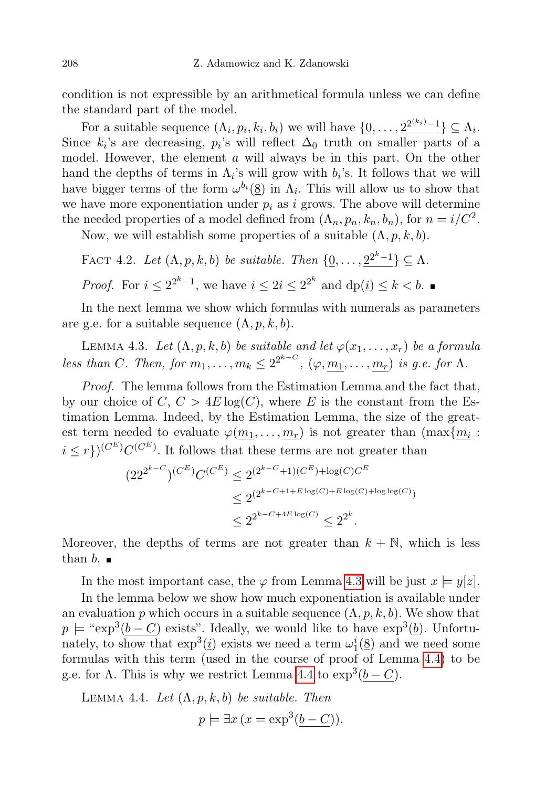condition is not expressible by an arithmetical formula unless we can define the standard part of the model.

For a suitable sequence  $(\Lambda_i, p_i, k_i, b_i)$  we will have  $\{\underline{0}, \ldots, \underline{2}^{2^{(k_i)}-1}\} \subseteq \Lambda_i$ . Since  $k_i$ 's are decreasing,  $p_i$ 's will reflect  $\Delta_0$  truth on smaller parts of a model. However, the element a will always be in this part. On the other hand the depths of terms in  $\Lambda_i$ 's will grow with  $b_i$ 's. It follows that we will have bigger terms of the form  $\omega^{b_i}(\underline{8})$  in  $\Lambda_i$ . This will allow us to show that we have more exponentiation under  $p_i$  as i grows. The above will determine the needed properties of a model defined from  $(\Lambda_n, p_n, k_n, b_n)$ , for  $n = i/C^2$ .

Now, we will establish some properties of a suitable  $(\Lambda, p, k, b)$ .

FACT 4.2. Let 
$$
(\Lambda, p, k, b)
$$
 be suitable. Then  $\{\underline{0}, \ldots, \underline{2}^{2^k-1}\} \subseteq \Lambda$ .  
Proof. For  $i \leq 2^{2^k-1}$ , we have  $i \leq 2i \leq 2^{2^k}$  and  $dp(i) \leq k < b$ .

In the next lemma we show which formulas with numerals as parameters are g.e. for a suitable sequence  $(\Lambda, p, k, b)$ .

<span id="page-17-0"></span>LEMMA 4.3. Let  $(\Lambda, p, k, b)$  be suitable and let  $\varphi(x_1, \ldots, x_r)$  be a formula less than C. Then, for  $m_1, \ldots, m_k \leq 2^{2^{k-C}}$ ,  $(\varphi, \underline{m_1}, \ldots, \underline{m_r})$  is g.e. for  $\Lambda$ .

Proof. The lemma follows from the Estimation Lemma and the fact that, by our choice of C,  $C > 4E \log(C)$ , where E is the constant from the Estimation Lemma. Indeed, by the Estimation Lemma, the size of the greatest term needed to evaluate  $\varphi(m_1, \ldots, m_r)$  is not greater than  $(\max\{m_i :$  $i \leq r$ } $(C^{E})C^{E}$ . It follows that these terms are not greater than

$$
(22^{2^{k-C}})^{(C^E)}C^{(C^E)} \le 2^{(2^{k-C}+1)(C^E) + \log(C)C^E}
$$
  

$$
\le 2^{(2^{k-C+1+E\log(C)} + E\log(C) + \log\log(C))}
$$
  

$$
\le 2^{2^{k-C+4E\log(C)}} \le 2^{2^k}.
$$

Moreover, the depths of terms are not greater than  $k + \mathbb{N}$ , which is less than  $b.$ 

In the most important case, the  $\varphi$  from Lemma [4.3](#page-17-0) will be just  $x \models y[z]$ .

In the lemma below we show how much exponentiation is available under an evaluation p which occurs in a suitable sequence  $(\Lambda, p, k, b)$ . We show that  $p \models "exp^3(b-C)$  exists". Ideally, we would like to have  $exp^3(b)$ . Unfortunately, to show that  $\exp^3(i)$  exists we need a term  $\omega_1^i(\underline{8})$  and we need some formulas with this term (used in the course of proof of Lemma [4.4\)](#page-17-1) to be g.e. for  $\Lambda$ . This is why we restrict Lemma [4.4](#page-17-1) to  $\exp^3(b-C)$ .

<span id="page-17-1"></span>LEMMA 4.4. Let  $(\Lambda, p, k, b)$  be suitable. Then

$$
p \models \exists x \, (x = \exp^3(b - C)).
$$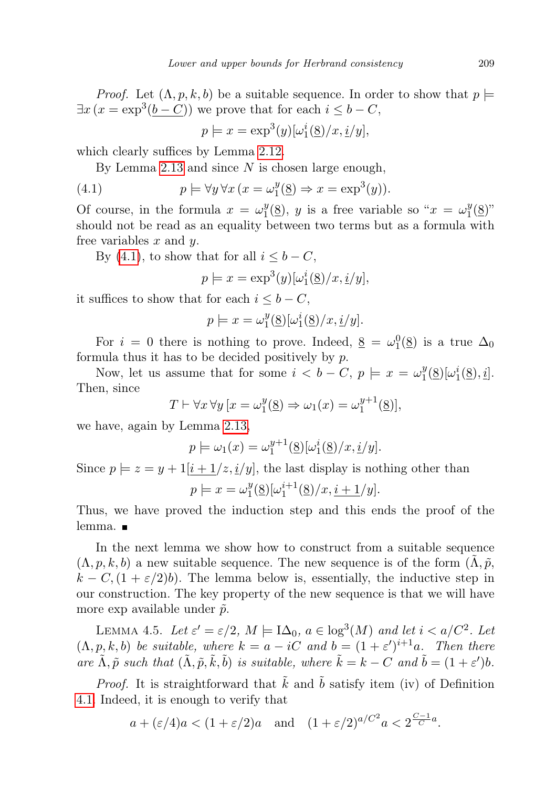*Proof.* Let  $(\Lambda, p, k, b)$  be a suitable sequence. In order to show that  $p \models$  $\exists x (x = \exp^3(b - C))$  we prove that for each  $i \leq b - C$ ,

<span id="page-18-0"></span>
$$
p \models x = \exp^3(y)[\omega_1^i(\underline{8})/x, \underline{i}/y],
$$

which clearly suffices by Lemma [2.12.](#page-8-1)

By Lemma [2.13](#page-8-2) and since  $N$  is chosen large enough,

(4.1) 
$$
p \models \forall y \forall x (x = \omega_1^y(\underline{8}) \Rightarrow x = \exp^3(y)).
$$

Of course, in the formula  $x = \omega_1^y$  $j_1^y(\underline{8})$ , y is a free variable so " $x = \omega_1^y$  $J_{1}^{y}(\underline{8})^{y}$ should not be read as an equality between two terms but as a formula with free variables  $x$  and  $y$ .

By [\(4.1\)](#page-18-0), to show that for all  $i \leq b - C$ ,

$$
p \models x = \exp^3(y)[\omega_1^i(\underline{8})/x, \underline{i}/y],
$$

it suffices to show that for each  $i \leq b - C$ ,

$$
p \models x = \omega_1^y(\underline{8})[\omega_1^i(\underline{8})/x, \underline{i}/y].
$$

For  $i = 0$  there is nothing to prove. Indeed,  $\underline{8} = \omega_1^0(\underline{8})$  is a true  $\Delta_0$ formula thus it has to be decided positively by  $p$ .

Now, let us assume that for some  $i < b - C$ ,  $p \models x = \omega_1^y$  $b_1^y(\underline{8})[\omega_1^i(\underline{8}), i].$ Then, since

$$
T \vdash \forall x \,\forall y \,[x = \omega_1^y(\underline{8}) \Rightarrow \omega_1(x) = \omega_1^{y+1}(\underline{8})],
$$

we have, again by Lemma [2.13,](#page-8-2)

$$
p \models \omega_1(x) = \omega_1^{y+1}(\underline{8})[\omega_1^i(\underline{8})/x, \underline{i}/y].
$$

Since  $p \models z = y + 1[i + 1/z, i/y]$ , the last display is nothing other than

$$
p \models x = \omega_1^y(\underline{8})[\omega_1^{i+1}(\underline{8})/x, \underline{i+1}/y].
$$

Thus, we have proved the induction step and this ends the proof of the lemma. ■

In the next lemma we show how to construct from a suitable sequence  $(\Lambda, p, k, b)$  a new suitable sequence. The new sequence is of the form  $(\Lambda, \tilde{p}, b)$  $k - C$ ,  $(1 + \varepsilon/2)b$ . The lemma below is, essentially, the inductive step in our construction. The key property of the new sequence is that we will have more exp available under  $\tilde{p}$ .

<span id="page-18-1"></span>LEMMA 4.5. Let  $\varepsilon' = \varepsilon/2$ ,  $M \models \mathrm{I}\Delta_0$ ,  $a \in \mathrm{log}^3(M)$  and let  $i < a/C^2$ . Let  $(\Lambda, p, k, b)$  be suitable, where  $k = a - iC$  and  $b = (1 + \varepsilon')^{i+1}a$ . Then there are  $\tilde{\Lambda}, \tilde{p}$  such that  $(\tilde{\Lambda}, \tilde{p}, \tilde{k}, \tilde{b})$  is suitable, where  $\tilde{k} = k - C$  and  $\tilde{b} = (1 + \varepsilon')b$ .

*Proof.* It is straightforward that  $\tilde{k}$  and  $\tilde{b}$  satisfy item (iv) of Definition [4.1.](#page-16-0) Indeed, it is enough to verify that

$$
a + (\varepsilon/4)a < (1 + \varepsilon/2)a
$$
 and  $(1 + \varepsilon/2)^{a/C^2}a < 2^{\frac{C-1}{C}a}$ .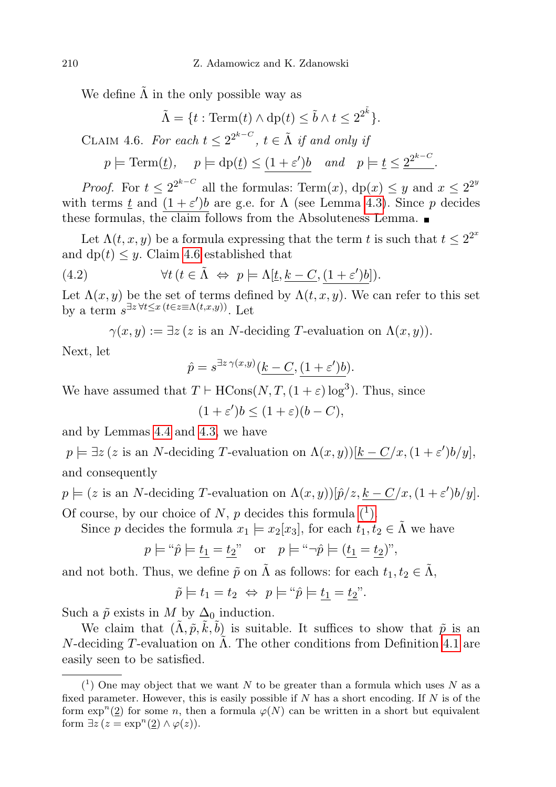We define  $\Lambda$  in the only possible way as

<span id="page-19-0"></span>
$$
\tilde{\Lambda} = \{ t : \text{Term}(t) \wedge \text{dp}(t) \le \tilde{b} \wedge t \le 2^{2^{\tilde{k}}} \}.
$$
  
CLAIM 4.6. For each  $t \le 2^{2^{k-C}}$ ,  $t \in \tilde{\Lambda}$  if and only if

 $p \models \text{Term}(\underline{t}), \quad p \models dp(\underline{t}) \le (1+\varepsilon')b \quad and \quad p \models \underline{t} \le \underline{2}^{2^{k-C}}.$ 

*Proof.* For  $t \leq 2^{2^{k-C}}$  all the formulas: Term $(x)$ ,  $dp(x) \leq y$  and  $x \leq 2^{2^k}$ with terms  $\underline{t}$  and  $(1+\varepsilon')b$  are g.e. for  $\Lambda$  (see Lemma [4.3\)](#page-17-0). Since p decides these formulas, the claim follows from the Absoluteness Lemma.  $\blacksquare$ 

Let  $\Lambda(t, x, y)$  be a formula expressing that the term t is such that  $t \leq 2^{2^x}$ and  $dp(t) \leq y$ . Claim [4.6](#page-19-0) established that

(4.2) 
$$
\forall t \ (t \in \tilde{\Lambda} \Leftrightarrow p \models \Lambda[\underline{t}, \underline{k-C}, \underline{(1+\varepsilon')b}]).
$$

Let  $\Lambda(x, y)$  be the set of terms defined by  $\Lambda(t, x, y)$ . We can refer to this set by a term  $s^{\exists z \forall t \leq x (t \in z \equiv \Lambda(t,x,y))}$ . Let

<span id="page-19-2"></span>
$$
\gamma(x, y) := \exists z \ (z \text{ is an } N\text{-deciding } T\text{-evaluation on } \Lambda(x, y)).
$$

Next, let

$$
\hat{p} = s^{\exists z \gamma(x,y)}(\underline{k-C}, \underline{(1+\varepsilon')b}).
$$

We have assumed that  $T \vdash \text{HCons}(N, T, (1 + \varepsilon) \log^3)$ . Thus, since

$$
(1+\varepsilon')b \le (1+\varepsilon)(b-C),
$$

and by Lemmas [4.4](#page-17-1) and [4.3,](#page-17-0) we have

 $p \models \exists z (z \text{ is an } N\text{-deciding } T\text{-evaluation on } \Lambda(x, y))[k - C/x, (1 + \varepsilon')b/y],$ and consequently

 $p \models (z \text{ is an } N\text{-deciding } T\text{-evaluation on } \Lambda(x,y))[\hat{p}/z, k - C/x, (1 + \varepsilon')b/y].$ Of course, by our choice of N, p decides this formula  $(1)$ .

Since p decides the formula  $x_1 \models x_2[x_3]$ , for each  $t_1, t_2 \in \tilde{\Lambda}$  we have

$$
p \models ``\hat{p} \models \underline{t_1} = \underline{t_2}"
$$
 or  $p \models ``\neg \hat{p} \models (\underline{t_1} = \underline{t_2})"$ ,

and not both. Thus, we define  $\tilde{p}$  on  $\tilde{\Lambda}$  as follows: for each  $t_1, t_2 \in \tilde{\Lambda}$ ,

$$
\tilde{p} \models t_1 = t_2 \Leftrightarrow p \models ``\hat{p} \models \underline{t_1} = \underline{t_2}''.
$$

Such a  $\tilde{p}$  exists in M by  $\Delta_0$  induction.

We claim that  $(\tilde{\Lambda}, \tilde{p}, \tilde{k}, \tilde{b})$  is suitable. It suffices to show that  $\tilde{p}$  is an N-deciding T-evaluation on  $\Lambda$ . The other conditions from Definition [4.1](#page-16-0) are easily seen to be satisfied.

<span id="page-19-1"></span> $(1)$  One may object that we want N to be greater than a formula which uses N as a fixed parameter. However, this is easily possible if  $N$  has a short encoding. If  $N$  is of the form  $\exp^n(2)$  for some n, then a formula  $\varphi(N)$  can be written in a short but equivalent form  $\exists z (z = \exp^n(2) \wedge \varphi(z)).$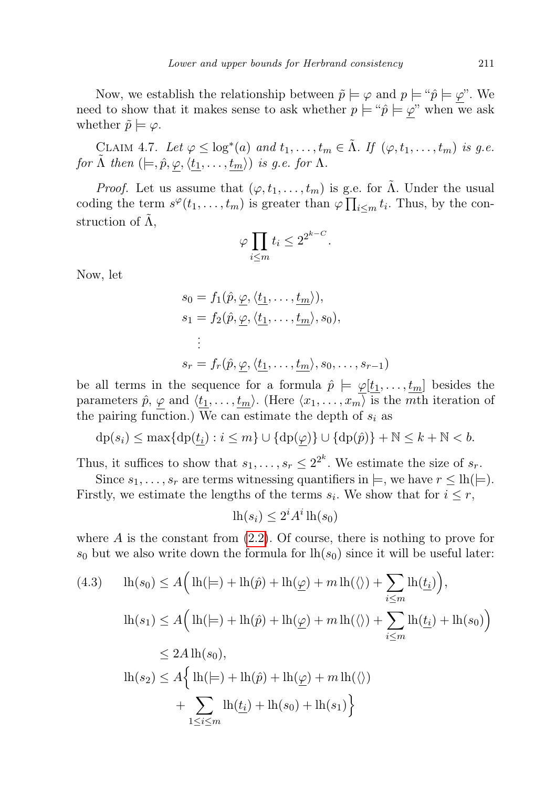Now, we establish the relationship between  $\tilde{p} \models \varphi$  and  $p \models \tilde{p} \models \varphi$ ". We need to show that it makes sense to ask whether  $p \models \tilde{p} \models \varphi$ " when we ask whether  $\tilde{p} \models \varphi$ .

<span id="page-20-1"></span>CLAIM 4.7. Let  $\varphi \leq \log^*(a)$  and  $t_1, \ldots, t_m \in \tilde{\Lambda}$ . If  $(\varphi, t_1, \ldots, t_m)$  is g.e. for  $\tilde{\Lambda}$  then  $(|=, \hat{p}, \varphi, \langle t_1, \ldots, t_m \rangle)$  is g.e. for  $\Lambda$ .

*Proof.* Let us assume that  $(\varphi, t_1, \ldots, t_m)$  is g.e. for  $\tilde{\Lambda}$ . Under the usual coding the term  $s^{\varphi}(t_1,\ldots,t_m)$  is greater than  $\varphi \prod_{i\leq m} t_i$ . Thus, by the construction of  $\tilde{\Lambda}$ ,

$$
\varphi \prod_{i \le m} t_i \le 2^{2^{k-C}}.
$$

Now, let

$$
s_0 = f_1(\hat{p}, \underline{\varphi}, \langle \underline{t_1}, \dots, \underline{t_m} \rangle),
$$
  
\n
$$
s_1 = f_2(\hat{p}, \underline{\varphi}, \langle \underline{t_1}, \dots, \underline{t_m} \rangle, s_0),
$$
  
\n
$$
\vdots
$$
  
\n
$$
s_r = f_r(\hat{p}, \underline{\varphi}, \langle \underline{t_1}, \dots, \underline{t_m} \rangle, s_0, \dots, s_{r-1})
$$

be all terms in the sequence for a formula  $\hat{p} \models \varphi[\underline{t_1}, \ldots, \underline{t_m}]$  besides the parameters  $\hat{p}$ ,  $\varphi$  and  $\langle t_1, \ldots, t_m \rangle$ . (Here  $\langle x_1, \ldots, x_m \rangle$  is the mth iteration of the pairing function.) We can estimate the depth of  $s_i$  as

$$
\mathrm{dp}(s_i) \le \max\{\mathrm{dp}(\underline{t_i}) : i \le m\} \cup \{\mathrm{dp}(\underline{\varphi})\} \cup \{\mathrm{dp}(\hat{p})\} + \mathbb{N} \le k + \mathbb{N} < b.
$$

Thus, it suffices to show that  $s_1, \ldots, s_r \leq 2^{2^k}$ . We estimate the size of  $s_r$ .

Since  $s_1, \ldots, s_r$  are terms witnessing quantifiers in  $\models$ , we have  $r \leq \text{lh}(\models)$ . Firstly, we estimate the lengths of the terms  $s_i$ . We show that for  $i \leq r$ ,

$$
\ln(s_i) \le 2^i A^i \ln(s_0)
$$

where  $A$  is the constant from  $(2.2)$ . Of course, there is nothing to prove for  $s_0$  but we also write down the formula for  $\ln(s_0)$  since it will be useful later:

<span id="page-20-0"></span>
$$
(4.3) \quad \ln(s_0) \le A \Big( \ln(\models) + \ln(\hat{p}) + \ln(\underline{\varphi}) + m \ln(\langle \rangle) + \sum_{i \le m} \ln(\underline{t_i}) \Big),
$$
\n
$$
\ln(s_1) \le A \Big( \ln(\models) + \ln(\hat{p}) + \ln(\underline{\varphi}) + m \ln(\langle \rangle) + \sum_{i \le m} \ln(\underline{t_i}) + \ln(s_0) \Big)
$$
\n
$$
\le 2A \ln(s_0),
$$
\n
$$
\ln(s_2) \le A \Big\{ \ln(\models) + \ln(\hat{p}) + \ln(\underline{\varphi}) + m \ln(\langle \rangle) + \sum_{1 \le i \le m} \ln(\underline{t_i}) + \ln(s_0) + \ln(s_1) \Big\}
$$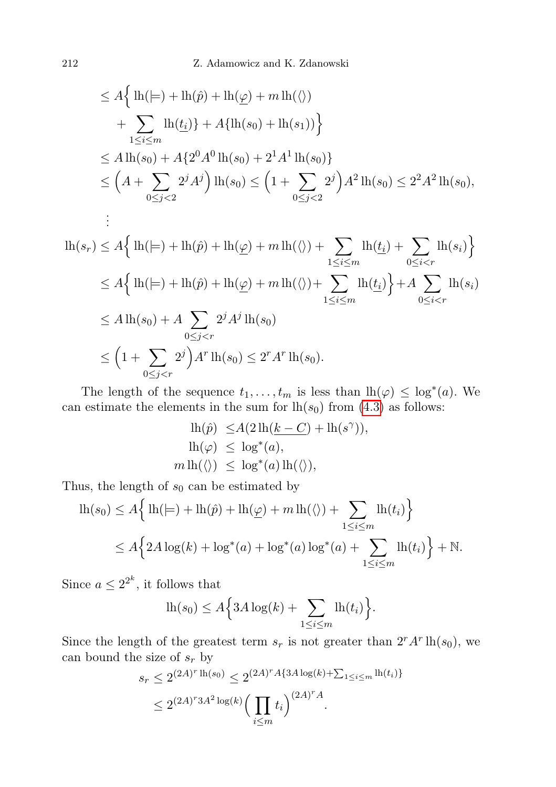$$
\leq A \Big\{ \ln(\models) + \ln(\hat{p}) + \ln(\underline{\varphi}) + m \ln(\langle \rangle) \n+ \sum_{1 \leq i \leq m} \ln(\underline{t_i}) \Big\} + A \{ \ln(s_0) + \ln(s_1) \Big\} \n\leq A \ln(s_0) + A \{ 2^0 A^0 \ln(s_0) + 2^1 A^1 \ln(s_0) \} \n\leq \Big( A + \sum_{0 \leq j < 2} 2^j A^j \Big) \ln(s_0) \leq \Big( 1 + \sum_{0 \leq j < 2} 2^j \Big) A^2 \ln(s_0) \leq 2^2 A^2 \ln(s_0), \n\vdots \n\ln(s_r) \leq A \Big\{ \ln(\models) + \ln(\hat{p}) + \ln(\underline{\varphi}) + m \ln(\langle \rangle) + \sum_{1 \leq i \leq m} \ln(\underline{t_i}) + \sum_{0 \leq i < r} \ln(s_i) \Big\} \n\leq A \Big\{ \ln(\models) + \ln(\hat{p}) + \ln(\underline{\varphi}) + m \ln(\langle \rangle) + \sum_{1 \leq i \leq m} \ln(\underline{t_i}) \Big\} + A \sum_{0 \leq i < r} \ln(s_i) \n\leq A \ln(s_0) + A \sum_{0 \leq j < r} 2^j A^j \ln(s_0) \n\leq \Big( 1 + \sum_{i \geq j} 2^j \Big) A^r \ln(s_0) \leq 2^r A^r \ln(s_0).
$$

The length of the sequence  $t_1, \ldots, t_m$  is less than  $lh(\varphi) \leq \log^*(a)$ . We can estimate the elements in the sum for  $lh(s_0)$  from  $(4.3)$  as follows:

$$
lh(\hat{p}) \le A(2\,lh(\underline{k}-C) + lh(s^{\gamma})),
$$
  
\n
$$
lh(\varphi) \le \log^*(a),
$$
  
\n
$$
m\,lh(\langle \rangle) \le \log^*(a)\,lh(\langle \rangle),
$$

Thus, the length of  $s_0$  can be estimated by

 $0 \leq j < r$ 

$$
\begin{aligned} \n\text{lh}(s_0) &\le A \Big\{ \ln(\models) + \ln(\hat{p}) + \ln(\underline{\varphi}) + m \ln(\langle \rangle) + \sum_{1 \le i \le m} \ln(t_i) \Big\} \\ \n&\le A \Big\{ 2A \log(k) + \log^*(a) + \log^*(a) \log^*(a) + \sum_{1 \le i \le m} \ln(t_i) \Big\} + \mathbb{N}. \n\end{aligned}
$$

Since  $a \leq 2^{2^k}$ , it follows that

$$
\ln(s_0) \le A \Big\{ 3A \log(k) + \sum_{1 \le i \le m} \ln(t_i) \Big\}.
$$

Since the length of the greatest term  $s_r$  is not greater than  $2^r A^r \ln(s_0)$ , we can bound the size of  $s_r$  by

$$
s_r \le 2^{(2A)^r \ln(s_0)} \le 2^{(2A)^r A \{3A \log(k) + \sum_{1 \le i \le m} \ln(t_i)\}}
$$
  

$$
\le 2^{(2A)^r 3A^2 \log(k)} \Big(\prod_{i \le m} t_i\Big)^{(2A)^r A}.
$$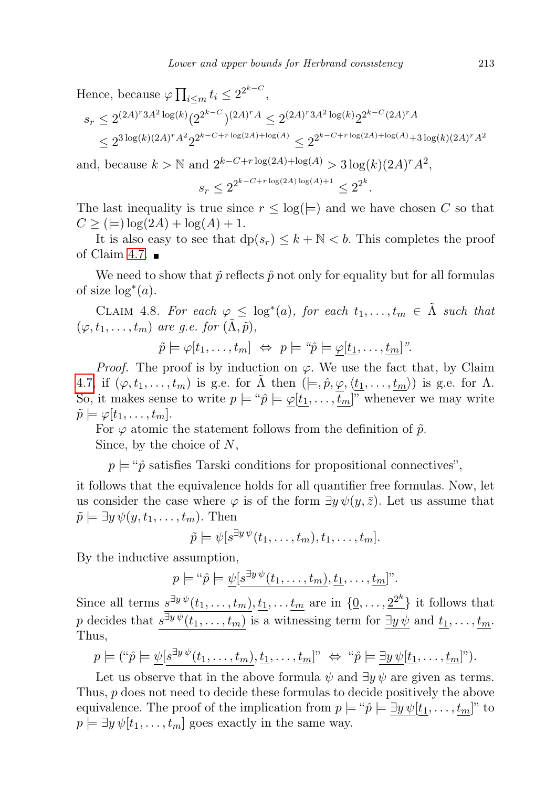Hence, because  $\varphi \prod_{i \leq m} t_i \leq 2^{2^{k-C}}$ ,

$$
s_r \le 2^{(2A)^r 3A^2 \log(k)} (2^{2^{k-C}})^{(2A)^r A} \le 2^{(2A)^r 3A^2 \log(k)} 2^{2^{k-C} (2A)^r A}
$$
  

$$
\le 2^{3 \log(k)(2A)^r A^2} 2^{2^{k-C+r \log(2A) + \log(A)}} \le 2^{2^{k-C+r \log(2A) + \log(A)} + 3 \log(k)(2A)^r A^2}
$$

and, because  $k > \mathbb{N}$  and  $2^{k-C+r \log(2A) + \log(A)} > 3 \log(k) (2A)^r A^2$ ,

$$
s_r \le 2^{2^{k-C+r\log(2A)\log(A)+1}} \le 2^{2^k}.
$$

The last inequality is true since  $r \leq \log(\models)$  and we have chosen C so that  $C \ge (|\!\pm\rangle \log(2A) + \log(A) + 1.$ 

It is also easy to see that  $dp(s_r) \leq k + N < b$ . This completes the proof of Claim [4.7.](#page-20-1)  $\blacksquare$ 

We need to show that  $\tilde{p}$  reflects  $\hat{p}$  not only for equality but for all formulas of size  $\log^*(a)$ .

<span id="page-22-0"></span>CLAIM 4.8. For each  $\varphi \leq \log^*(a)$ , for each  $t_1, \ldots, t_m \in \tilde{\Lambda}$  such that  $(\varphi, t_1, \ldots, t_m)$  are g.e. for  $(\Lambda, \tilde{p})$ ,

$$
\tilde{p} \models \varphi[t_1,\ldots,t_m] \Leftrightarrow p \models \text{``}\hat{p} \models \underline{\varphi[t_1,\ldots,t_m]}\text{''}.
$$

*Proof.* The proof is by induction on  $\varphi$ . We use the fact that, by Claim [4.7,](#page-20-1) if  $(\varphi, t_1, \ldots, t_m)$  is g.e. for  $\tilde{\Lambda}$  then  $( \models, \hat{p}, \varphi, \langle t_1, \ldots, t_m \rangle )$  is g.e. for  $\Lambda$ . So, it makes sense to write  $p \models " \hat{p} \models \varphi[\underline{t_1}, \ldots, \underline{t_m}]$ " whenever we may write  $\tilde{p} \models \varphi[t_1, \ldots, t_m].$ 

For  $\varphi$  atomic the statement follows from the definition of  $\tilde{p}$ . Since, by the choice of  $N$ ,

 $p \models$  " $\hat{p}$  satisfies Tarski conditions for propositional connectives",

it follows that the equivalence holds for all quantifier free formulas. Now, let us consider the case where  $\varphi$  is of the form  $\exists y \psi(y, \bar{z})$ . Let us assume that  $\tilde{p} \models \exists y \psi(y, t_1, \ldots, t_m)$ . Then

$$
\tilde{p} \models \psi[s^{\exists y \psi}(t_1,\ldots,t_m),t_1,\ldots,t_m].
$$

By the inductive assumption,

$$
p \models ``\hat{p} \models \underline{\psi}[s^{\exists y \psi}(t_1, \ldots, t_m), \underline{t_1}, \ldots, \underline{t_m}]]".
$$

Since all terms  $s^{\exists y \psi}(t_1,\ldots,t_m), \underline{t_1}, \ldots, \underline{t_m}$  are in  $\{\underline{0}, \ldots, \underline{2^{2^k}}\}$  it follows that p decides that  $s^{\exists y \psi}(t_1, \ldots, t_m)$  is a witnessing term for  $\exists y \psi$  and  $t_1, \ldots, t_m$ . Thus,

$$
p \models (\text{``}\hat{p} \models \underline{\psi}[s^{\exists y \psi}(t_1, \dots, t_m), \underline{t_1}, \dots, \underline{t_m}] \text{''} \Leftrightarrow \text{``}\hat{p} \models \underline{\exists y \psi}[t_1, \dots, t_m] \text{''}).
$$

Let us observe that in the above formula  $\psi$  and  $\exists y \psi$  are given as terms. Thus, p does not need to decide these formulas to decide positively the above equivalence. The proof of the implication from  $p \models \tilde{p} \models \exists y \psi[t_1, \ldots, t_m]$ " to  $p \models \exists y \psi[t_1, \ldots, t_m]$  goes exactly in the same way.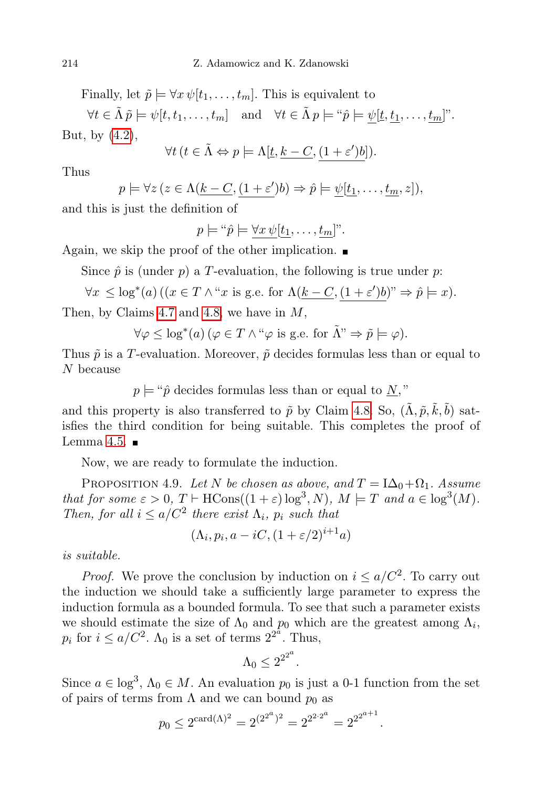Finally, let  $\tilde{p} \models \forall x \psi[t_1, \ldots, t_m]$ . This is equivalent to

 $\forall t \in \tilde{\Lambda} \tilde{p} \models \psi[t, t_1, \ldots, t_m] \text{ and } \forall t \in \tilde{\Lambda} p \models \text{``$\hat{p}$} \models \psi[\underline{t}, \underline{t_1}, \ldots, \underline{t_m}].$ But, by  $(4.2)$ ,

$$
\forall t \ (t \in \tilde{\Lambda} \Leftrightarrow p \models \Lambda[\underline{t}, \underline{k - C}, \underline{(1 + \varepsilon')b}]).
$$

Thus

$$
p \models \forall z (z \in \Lambda(\underline{k-C}, \underline{(1+\varepsilon')b}) \Rightarrow \hat{p} \models \underline{\psi[t_1, \ldots, t_m, z]},
$$

and this is just the definition of

$$
p \models " \hat{p} \models \underline{\forall x \psi[t_1, \dots, t_m]"}.
$$

Again, we skip the proof of the other implication.  $\blacksquare$ 

Since  $\hat{p}$  is (under  $p$ ) a T-evaluation, the following is true under  $p$ .

$$
\forall x \leq \log^*(a) \left( (x \in T \land ``x \text{ is g.e. for } \Lambda(\underline{k-C}, (1+\varepsilon')b)" \Rightarrow \hat{p} \models x \right).
$$

Then, by Claims [4.7](#page-20-1) and [4.8,](#page-22-0) we have in  $M$ ,

$$
\forall \varphi \leq \log^*(a) \left( \varphi \in T \wedge ``\varphi \text{ is g.e. for } \tilde{\Lambda}" \Rightarrow \tilde{p} \models \varphi \right).
$$

Thus  $\tilde{p}$  is a T-evaluation. Moreover,  $\tilde{p}$  decides formulas less than or equal to N because

 $p \models " \hat{p}$  decides formulas less than or equal to  $N$ ,"

and this property is also transferred to  $\tilde{p}$  by Claim [4.8.](#page-22-0) So,  $(\tilde{\Lambda}, \tilde{p}, \tilde{k}, \tilde{b})$  satisfies the third condition for being suitable. This completes the proof of Lemma [4.5.](#page-18-1)  $\blacksquare$ 

Now, we are ready to formulate the induction.

<span id="page-23-0"></span>PROPOSITION 4.9. Let N be chosen as above, and  $T = I\Delta_0 + \Omega_1$ . Assume that for some  $\varepsilon > 0$ ,  $T \vdash \text{HCons}((1 + \varepsilon) \log^3, N)$ ,  $M \models T$  and  $a \in \log^3(M)$ . Then, for all  $i \leq a/C^2$  there exist  $\Lambda_i$ ,  $p_i$  such that

$$
(\Lambda_i, p_i, a - iC, (1 + \varepsilon/2)^{i+1}a)
$$

is suitable.

*Proof.* We prove the conclusion by induction on  $i \leq a/C^2$ . To carry out the induction we should take a sufficiently large parameter to express the induction formula as a bounded formula. To see that such a parameter exists we should estimate the size of  $\Lambda_0$  and  $p_0$  which are the greatest among  $\Lambda_i$ ,  $p_i$  for  $i \leq a/C^2$ .  $\Lambda_0$  is a set of terms  $2^{2^{\tilde{a}}}$ . Thus,

$$
\Lambda_0 \leq 2^{2^{2^a}}.
$$

Since  $a \in \log^3$ ,  $\Lambda_0 \in M$ . An evaluation  $p_0$  is just a 0-1 function from the set of pairs of terms from  $\Lambda$  and we can bound  $p_0$  as

$$
p_0 \le 2^{\operatorname{card}(\Lambda)^2} = 2^{(2^{2^a})^2} = 2^{2^{2 \cdot 2^a}} = 2^{2^{2^{a+1}}}.
$$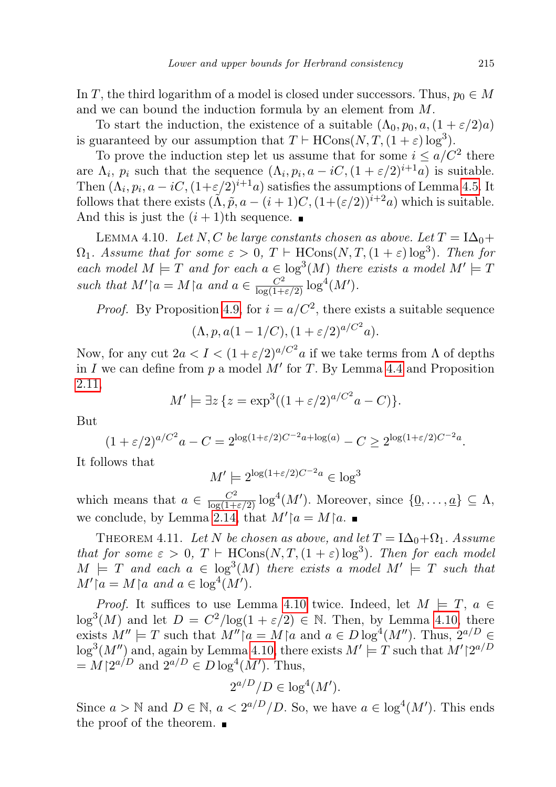In T, the third logarithm of a model is closed under successors. Thus,  $p_0 \in M$ and we can bound the induction formula by an element from M.

To start the induction, the existence of a suitable  $(\Lambda_0, p_0, a, (1 + \varepsilon/2)a)$ is guaranteed by our assumption that  $T \vdash \text{HCons}(N, T, (1 + \varepsilon) \log^3)$ .

To prove the induction step let us assume that for some  $i \leq a/C^2$  there are  $\Lambda_i$ ,  $p_i$  such that the sequence  $(\Lambda_i, p_i, a - iC, (1 + \varepsilon/2)^{i+1}a)$  is suitable. Then  $(\Lambda_i, p_i, a - iC, (1+\varepsilon/2)^{i+1}a)$  satisfies the assumptions of Lemma [4.5.](#page-18-1) It follows that there exists  $(\tilde{\Lambda}, \tilde{p}, a - (i+1)C, (1+(\varepsilon/2))^{i+2}a)$  which is suitable. And this is just the  $(i + 1)$ th sequence.

<span id="page-24-0"></span>LEMMA 4.10. Let N, C be large constants chosen as above. Let  $T = I\Delta_0+$  $\Omega_1$ . Assume that for some  $\varepsilon > 0$ ,  $T \vdash \text{HCons}(N, T, (1 + \varepsilon) \log^3)$ . Then for each model  $M \models T$  and for each  $a \in \log^3(M)$  there exists a model  $M' \models T$ such that  $M' \upharpoonright a = M \upharpoonright a$  and  $a \in \frac{C^2}{\log(1+\varepsilon/2)} \log^4(M')$ .

*Proof.* By Proposition [4.9,](#page-23-0) for  $i = a/C^2$ , there exists a suitable sequence

$$
(\Lambda, p, a(1 - 1/C), (1 + \varepsilon/2)^{a/C^2}a).
$$

Now, for any cut  $2a < I < (1 + \varepsilon/2)^{a/C^2}a$  if we take terms from  $\Lambda$  of depths in I we can define from  $p$  a model  $M'$  for T. By Lemma [4.4](#page-17-1) and Proposition [2.11,](#page-7-1)

$$
M' \models \exists z \{ z = \exp^3((1 + \varepsilon/2)^{a/C^2}a - C) \}.
$$

But

$$
(1 + \varepsilon/2)^{a/C^2}a - C = 2^{\log(1 + \varepsilon/2)C^{-2}a + \log(a)} - C \ge 2^{\log(1 + \varepsilon/2)C^{-2}a}.
$$

It follows that

$$
M' \models 2^{\log(1+\varepsilon/2)C^{-2}a} \in \log^3
$$

which means that  $a \in \frac{C^2}{\log(1+\epsilon/2)} \log^4(M')$ . Moreover, since  $\{\underline{0}, \ldots, \underline{a}\} \subseteq \Lambda$ , we conclude, by Lemma [2.14,](#page-8-0) that  $M' \upharpoonright a = M \upharpoonright a$ .

<span id="page-24-1"></span>THEOREM 4.11. Let N be chosen as above, and let  $T = I\Delta_0 + \Omega_1$ . Assume that for some  $\varepsilon > 0$ ,  $T \vdash \text{HCons}(N, T, (1 + \varepsilon) \log^3)$ . Then for each model  $M \models T$  and each  $a \in \log^3(M)$  there exists a model  $M' \models T$  such that  $M' \restriction a = M \restriction a$  and  $a \in \log^4(M')$ .

*Proof.* It suffices to use Lemma [4.10](#page-24-0) twice. Indeed, let  $M \models T$ ,  $a \in$  $\log^3(M)$  and let  $D = C^2/\log(1+\varepsilon/2) \in \mathbb{N}$ . Then, by Lemma [4.10,](#page-24-0) there exists  $M'' \models T$  such that  $M'' \upharpoonright a = M \upharpoonright a$  and  $a \in D \log^4(M'')$ . Thus,  $2^{a/D} \in$  $\log^3(M'')$  and, again by Lemma [4.10,](#page-24-0) there exists  $M' \models T$  such that  $M' \geq a^{D}$  $=M\lceil 2^{a/D} \text{ and } 2^{a/D} \in D\log^4(M')$ . Thus,

$$
2^{a/D}/D \in \log^4(M').
$$

Since  $a > \mathbb{N}$  and  $D \in \mathbb{N}$ ,  $a < 2^{a/D}/D$ . So, we have  $a \in \log^4(M')$ . This ends the proof of the theorem.  $\blacksquare$